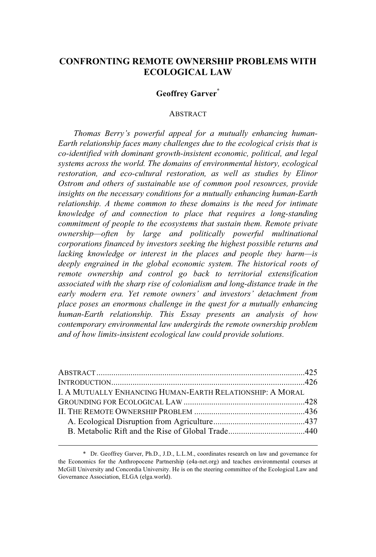# **CONFRONTING REMOTE OWNERSHIP PROBLEMS WITH ECOLOGICAL LAW**

# **Geoffrey Garver\***

#### ABSTRACT

*Thomas Berry's powerful appeal for a mutually enhancing human-Earth relationship faces many challenges due to the ecological crisis that is co-identified with dominant growth-insistent economic, political, and legal systems across the world. The domains of environmental history, ecological restoration, and eco-cultural restoration, as well as studies by Elinor Ostrom and others of sustainable use of common pool resources, provide insights on the necessary conditions for a mutually enhancing human-Earth relationship. A theme common to these domains is the need for intimate knowledge of and connection to place that requires a long-standing commitment of people to the ecosystems that sustain them. Remote private ownership—often by large and politically powerful multinational corporations financed by investors seeking the highest possible returns and lacking knowledge or interest in the places and people they harm—is deeply engrained in the global economic system. The historical roots of remote ownership and control go back to territorial extensification associated with the sharp rise of colonialism and long-distance trade in the early modern era. Yet remote owners' and investors' detachment from place poses an enormous challenge in the quest for a mutually enhancing human-Earth relationship. This Essay presents an analysis of how contemporary environmental law undergirds the remote ownership problem and of how limits-insistent ecological law could provide solutions.*

| I. A MUTUALLY ENHANCING HUMAN-EARTH RELATIONSHIP: A MORAL |  |
|-----------------------------------------------------------|--|
|                                                           |  |
|                                                           |  |
|                                                           |  |
|                                                           |  |
|                                                           |  |

<sup>\*</sup> Dr. Geoffrey Garver, Ph.D., J.D., L.L.M., coordinates research on law and governance for the Economics for the Anthropocene Partnership (e4a-net.org) and teaches environmental courses at McGill University and Concordia University. He is on the steering committee of the Ecological Law and Governance Association, ELGA (elga.world).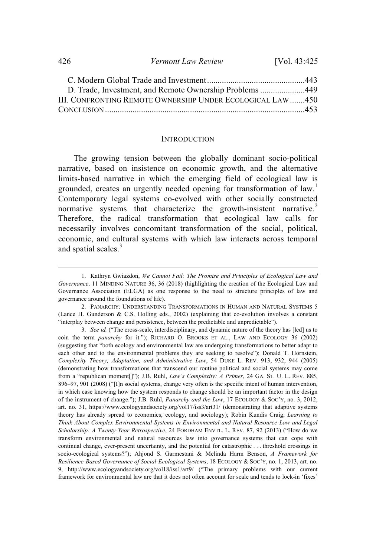426 *Vermont Law Review* [Vol. 43:425

| D. Trade, Investment, and Remote Ownership Problems449     |  |
|------------------------------------------------------------|--|
| III. CONFRONTING REMOTE OWNERSHIP UNDER ECOLOGICAL LAW 450 |  |
|                                                            |  |

#### **INTRODUCTION**

The growing tension between the globally dominant socio-political narrative, based on insistence on economic growth, and the alternative limits-based narrative in which the emerging field of ecological law is grounded, creates an urgently needed opening for transformation of law. 1 Contemporary legal systems co-evolved with other socially constructed normative systems that characterize the growth-insistent narrative.<sup>2</sup> Therefore, the radical transformation that ecological law calls for necessarily involves concomitant transformation of the social, political, economic, and cultural systems with which law interacts across temporal and spatial scales.<sup>3</sup>

<sup>1.</sup> Kathryn Gwiazdon, *We Cannot Fail: The Promise and Principles of Ecological Law and Governance*, 11 MINDING NATURE 36, 36 (2018) (highlighting the creation of the Ecological Law and Governance Association (ELGA) as one response to the need to structure principles of law and governance around the foundations of life).

<sup>2.</sup> PANARCHY: UNDERSTANDING TRANSFORMATIONS IN HUMAN AND NATURAL SYSTEMS 5 (Lance H. Gunderson & C.S. Holling eds., 2002) (explaining that co-evolution involves a constant "interplay between change and persistence, between the predictable and unpredictable").

<sup>3.</sup> *See id.* ("The cross-scale, interdisciplinary, and dynamic nature of the theory has [led] us to coin the term *panarchy* for it."); RICHARD O. BROOKS ET AL., LAW AND ECOLOGY 36 (2002) (suggesting that "both ecology and environmental law are undergoing transformations to better adapt to each other and to the environmental problems they are seeking to resolve"); Donald T. Hornstein, *Complexity Theory, Adaptation, and Administrative Law*, 54 DUKE L. REV. 913, 932, 944 (2005) (demonstrating how transformations that transcend our routine political and social systems may come from a "republican moment[]"); J.B. Ruhl, *Law's Complexity: A Primer*, 24 GA. ST. U. L. REV. 885, 896–97, 901 (2008) ("[I]n social systems, change very often is the specific intent of human intervention, in which case knowing how the system responds to change should be an important factor in the design of the instrument of change."); J.B. Ruhl, *Panarchy and the Law*, 17 ECOLOGY & SOC'Y, no. 3, 2012, art. no. 31, https://www.ecologyandsociety.org/vol17/iss3/art31/ (demonstrating that adaptive systems theory has already spread to economics, ecology, and sociology); Robin Kundis Craig, *Learning to Think About Complex Environmental Systems in Environmental and Natural Resource Law and Legal Scholarship: A Twenty-Year Retrospective*, 24 FORDHAM ENVTL. L. REV. 87, 92 (2013) ("How do we transform environmental and natural resources law into governance systems that can cope with continual change, ever-present uncertainty, and the potential for catastrophic . ..threshold crossings in socio-ecological systems?"); Ahjond S. Garmestani & Melinda Harm Benson, *A Framework for Resilience-Based Governance of Social-Ecological Systems*, 18 ECOLOGY & SOC'Y, no. 1, 2013, art. no. 9, http://www.ecologyandsociety.org/vol18/iss1/art9/ ("The primary problems with our current framework for environmental law are that it does not often account for scale and tends to lock-in 'fixes'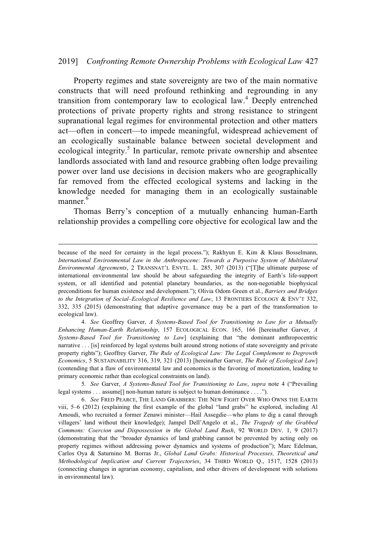#### 2019] *Confronting Remote Ownership Problems with Ecological Law* 427

Property regimes and state sovereignty are two of the main normative constructs that will need profound rethinking and regrounding in any transition from contemporary law to ecological law. <sup>4</sup> Deeply entrenched protections of private property rights and strong resistance to stringent supranational legal regimes for environmental protection and other matters act—often in concert—to impede meaningful, widespread achievement of an ecologically sustainable balance between societal development and ecological integrity.<sup>5</sup> In particular, remote private ownership and absentee landlords associated with land and resource grabbing often lodge prevailing power over land use decisions in decision makers who are geographically far removed from the effected ecological systems and lacking in the knowledge needed for managing them in an ecologically sustainable manner. 6

Thomas Berry's conception of a mutually enhancing human-Earth relationship provides a compelling core objective for ecological law and the

4. See Geoffrey Garver, *A Systems-Based Tool for Transitioning to Law for a Mutually Enhancing Human-Earth Relationship*, 157 ECOLOGICAL ECON. 165, 166 [hereinafter Garver, *A Systems-Based Tool for Transitioning to Law*] (explaining that "the dominant anthropocentric narrative . ..[is] reinforced by legal systems built around strong notions of state sovereignty and private property rights"); Geoffrey Garver, *The Rule of Ecological Law: The Legal Complement to Degrowth Economics*,5SUSTAINABILITY 316, 319, 321 (2013) [hereinafter Garver, *The Rule of Ecological Law*] (contending that a flaw of environmental law and economics is the favoring of monetization, leading to primary economic rather than ecological constraints on land).

because of the need for certainty in the legal process."); Rakhyun E. Kim & Klaus Bosselmann, *International Environmental Law in the Anthropocene: Towards a Purposive System of Multilateral Environmental Agreements*,2TRANSNAT'L ENVTL. L. 285, 307 (2013) ("[T]he ultimate purpose of international environmental law should be about safeguarding the integrity of Earth's life-support system, or all identified and potential planetary boundaries, as the non-negotiable biophysical preconditions for human existence and development."); Olivia Odom Green et al., *Barriers and Bridges to the Integration of Social–Ecological Resilience and Law*, 13 FRONTIERS ECOLOGY & ENV'T 332, 332, 335 (2015) (demonstrating that adaptive governance may be a part of the transformation to ecological law).

<sup>5</sup>*. See* Garver, *A Systems-Based Tool for Transitioning to Law*, *supra* note4("Prevailing legal systems . . . assume<sup>[]</sup> non-human nature is subject to human dominance . . . .").

<sup>6.</sup> *See* FRED PEARCE, THE LAND GRABBERS: THE NEW FIGHT OVER WHO OWNS THE EARTH viii, 5–6 (2012) (explaining the first example of the global "land grabs" he explored, including Al Amoudi, who recruited a former Zenawi minister—Hail Assegdie—who plans to dig a canal through villagers' land without their knowledge); Jampel Dell'Angelo et al., *The Tragedy of the Grabbed Commons: Coercion and Dispossession in the Global Land Rush*, 92 WORLD DEV. 1, 9 (2017) (demonstrating that the "broader dynamics of land grabbing cannot be prevented by acting only on property regimes without addressing power dynamics and systems of production"); Marc Edelman, Carlos Oya & Saturnino M. Borras Jr., *Global Land Grabs: Historical Processes, Theoretical and Methodological Implication and Current Trajectories*, 34 THIRD WORLD Q., 1517, 1528 (2013) (connecting changes in agrarian economy, capitalism, and other drivers of development with solutions in environmental law).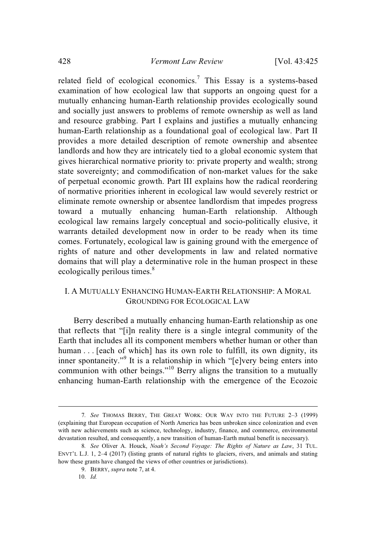related field of ecological economics.<sup>7</sup> This Essay is a systems-based examination of how ecological law that supports an ongoing quest for a mutually enhancing human-Earth relationship provides ecologically sound and socially just answers to problems of remote ownership as well as land and resource grabbing. Part I explains and justifies a mutually enhancing human-Earth relationship as a foundational goal of ecological law. Part II provides a more detailed description of remote ownership and absentee landlords and how they are intricately tied to a global economic system that gives hierarchical normative priority to: private property and wealth; strong state sovereignty; and commodification of non-market values for the sake of perpetual economic growth. Part III explains how the radical reordering of normative priorities inherent in ecological law would severely restrict or eliminate remote ownership or absentee landlordism that impedes progress toward a mutually enhancing human-Earth relationship. Although ecological law remains largely conceptual and socio-politically elusive, it warrants detailed development now in order to be ready when its time comes. Fortunately, ecological law is gaining ground with the emergence of rights of nature and other developments in law and related normative domains that will play a determinative role in the human prospect in these ecologically perilous times.<sup>8</sup>

# I. A MUTUALLY ENHANCING HUMAN-EARTH RELATIONSHIP: A MORAL GROUNDING FOR ECOLOGICAL LAW

Berry described a mutually enhancing human-Earth relationship as one that reflects that "[i]n reality there is a single integral community of the Earth that includes all its component members whether human or other than human ... [each of which] has its own role to fulfill, its own dignity, its inner spontaneity."<sup>9</sup> It is a relationship in which "[e]very being enters into communion with other beings."<sup>10</sup> Berry aligns the transition to a mutually enhancing human-Earth relationship with the emergence of the Ecozoic

<sup>7</sup>*. See* THOMAS BERRY, THE GREAT WORK: OUR WAY INTO THE FUTURE 2–3 (1999) (explaining that European occupation of North America has been unbroken since colonization and even with new achievements such as science, technology, industry, finance, and commerce, environmental devastation resulted, and consequently, a new transition of human-Earth mutual benefit is necessary).

<sup>8</sup>*. See* Oliver A. Houck, *Noah's Second Voyage: The Rights of Nature as Law*, 31 TUL. ENVT'L L.J. 1, 2–4 (2017) (listing grants of natural rights to glaciers, rivers, and animals and stating how these grants have changed the views of other countries or jurisdictions).

<sup>9.</sup> BERRY, *supra* note 7, at 4.

<sup>10.</sup> *Id.*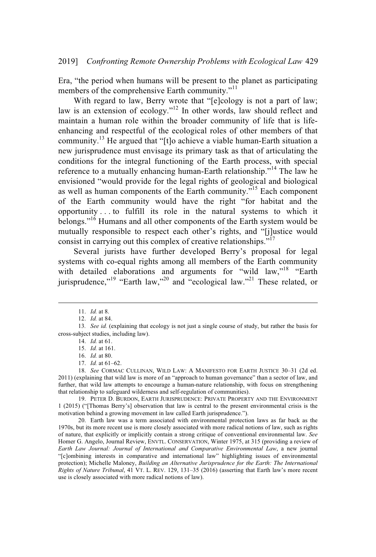Era, "the period when humans will be present to the planet as participating members of the comprehensive Earth community."<sup>11</sup>

With regard to law, Berry wrote that "[e]cology is not a part of law; law is an extension of ecology."<sup>12</sup> In other words, law should reflect and maintain a human role within the broader community of life that is lifeenhancing and respectful of the ecological roles of other members of that community.<sup>13</sup> He argued that "[t]o achieve a viable human-Earth situation a new jurisprudence must envisage its primary task as that of articulating the conditions for the integral functioning of the Earth process, with special reference to a mutually enhancing human-Earth relationship."<sup>14</sup> The law he envisioned "would provide for the legal rights of geological and biological as well as human components of the Earth community."<sup>15</sup> Each component of the Earth community would have the right "for habitat and the opportunity ...to fulfill its role in the natural systems to which it belongs."<sup>16</sup> Humans and all other components of the Earth system would be mutually responsible to respect each other's rights, and "[j]ustice would consist in carrying out this complex of creative relationships."<sup>17</sup>

Several jurists have further developed Berry's proposal for legal systems with co-equal rights among all members of the Earth community with detailed elaborations and arguments for "wild law,"<sup>18</sup> "Earth jurisprudence,"<sup>19</sup> "Earth law,"<sup>20</sup> and "ecological law."<sup>21</sup> These related, or

19. PETER D. BURDON, EARTH JURISPRUDENCE: PRIVATE PROPERTY AND THE ENVIRONMENT 1 (2015) ("[Thomas Berry's] observation that law is central to the present environmental crisis is the motivation behind a growing movement in law called Earth jurisprudence.").

20. Earth law was a term associated with environmental protection laws as far back as the 1970s, but its more recent use is more closely associated with more radical notions of law, such as rights of nature, that explicitly or implicitly containastrong critique of conventional environmental law. *See* Homer G. Angelo, Journal Review, ENVTL. CONSERVATION, Winter 1975, at 315 (providing a review of *Earth Law Journal: Journal of International and Comparative Environmental Law*, a new journal "[c]ombining interests in comparative and international law" highlighting issues of environmental protection); Michelle Maloney, *Building an Alternative Jurisprudence for the Earth: The International Rights of Nature Tribunal*, 41 VT. L. REV. 129, 131–35 (2016) (asserting that Earth law's more recent use is closely associated with more radical notions of law).

<sup>11.</sup> *Id.* at 8.

<sup>12.</sup> *Id.* at 84.

<sup>13</sup>*. See id.* (explaining that ecology is not just a single course of study, but rather the basis for cross-subject studies, including law).

<sup>14.</sup> *Id.* at 61.

<sup>15.</sup> *Id.* at 161.

<sup>16.</sup> *Id.* at 80.

<sup>17.</sup> *Id.* at 61–62.

<sup>18.</sup> See CORMAC CULLINAN, WILD LAW: A MANIFESTO FOR EARTH JUSTICE 30-31 (2d ed. 2011) (explaining that wild law is more of an "approach to human governance" than a sector of law, and further, that wild law attempts to encourage a human-nature relationship, with focus on strengthening that relationship to safeguard wilderness and self-regulation of communities).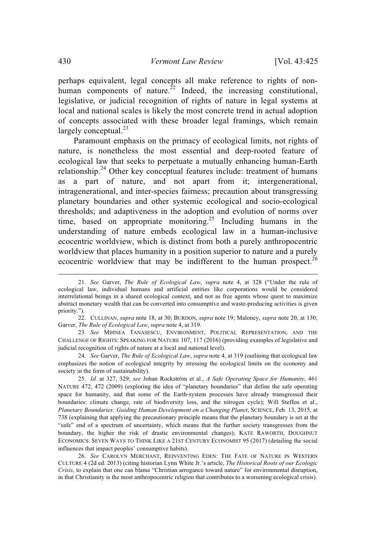perhaps equivalent, legal concepts all make reference to rights of nonhuman components of nature.<sup>22</sup> Indeed, the increasing constitutional, legislative, or judicial recognition of rights of nature in legal systems at local and national scales is likely the most concrete trend in actual adoption of concepts associated with these broader legal framings, which remain largely conceptual. $^{23}$ 

Paramount emphasis on the primacy of ecological limits, not rights of nature, is nonetheless the most essential and deep-rooted feature of ecological law that seeks to perpetuate a mutually enhancing human-Earth relationship.<sup>24</sup> Other key conceptual features include: treatment of humans as a part of nature, and not apart from it; intergenerational, intragenerational, and inter-species fairness; precaution about transgressing planetary boundaries and other systemic ecological and socio-ecological thresholds; and adaptiveness in the adoption and evolution of norms over time, based on appropriate monitoring.<sup>25</sup> Including humans in the understanding of nature embeds ecological law in a human-inclusive ecocentric worldview, which is distinct from both a purely anthropocentric worldview that places humanity in a position superior to nature and a purely ecocentric worldview that may be indifferent to the human prospect. $^{26}$ 

23*. See* MIHNEA TANASESCU, ENVIRONMENT, POLITICAL REPRESENTATION, AND THE CHALLENGE OF RIGHTS: SPEAKING FOR NATURE 107, 117 (2016) (providing examples of legislative and judicial recognition of rights of nature at a local and national level).

24*. See* Garver, *The Rule of Ecological Law*, *supra* note 4, at 319 (outlining that ecological law emphasizes the notion of ecological integrity by stressing the ecological limits on the economy and society in the form of sustainability).

25. *Id.* at 327, 329; *see* Johan Rockström et al., *A Safe Operating Space for Humanity*, 461 NATURE 472, 472 (2009) (exploring the idea of "planetary boundaries" that define the safe operating space for humanity, and that some of the Earth-system processes have already transgressed their boundaries: climate change, rate of biodiversity loss, and the nitrogen cycle); Will Steffen et al., *Planetary Boundaries: Guiding Human Development on a Changing Planet*, SCIENCE, Feb. 13, 2015, at 738 (explaining that applying the precautionary principle means that the planetary boundary is set at the "safe" end of a spectrum of uncertainty, which means that the further society transgresses from the boundary, the higher the risk of drastic environmental changes); KATE RAWORTH, DOUGHNUT ECONOMICS: SEVEN WAYS TO THINK LIKE A 21ST CENTURY ECONOMIST 95 (2017) (detailing the social influences that impact peoples' consumptive habits).

26. *See* CAROLYN MERCHANT, REINVENTING EDEN: THE FATE OF NATURE IN WESTERN CULTURE 4 (2d ed. 2013) (citing historian Lynn White Jr.'s article, *The Historical Roots of our Ecologic Crisis*, to explain that one can blame "Christian arrogance toward nature" for environmental disruption, in that Christianity is the most anthropocentric religion that contributes to a worsening ecological crisis).

<sup>21.</sup> *See* Garver, *The Rule of Ecological Law*, *supra* note 4, at 328 ("Under the rule of ecological law, individual humans and artificial entities like corporations would be considered interrelational beings in a shared ecological context, and not as free agents whose quest to maximize abstract monetary wealth that can be converted into consumptive and waste-producing activities is given priority.").

<sup>22.</sup> CULLINAN, *supra* note 18, at 30; BURDON, *supra* note 19; Maloney, *supra* note 20, at 130; Garver, *The Rule of Ecological Law*, *supra* note 4, at 319.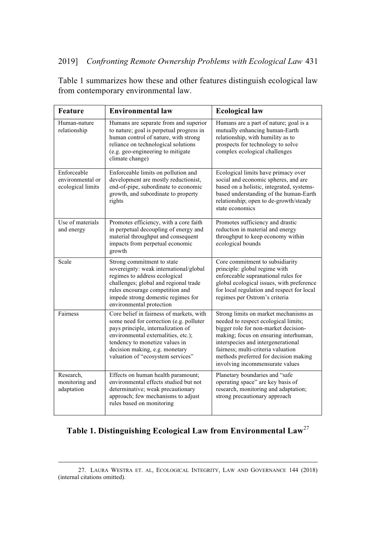Table 1 summarizes how these and other features distinguish ecological law from contemporary environmental law.

| Feature                                              | <b>Environmental law</b>                                                                                                                                                                                                                                                  | <b>Ecological law</b>                                                                                                                                                                                                                                                                                                  |
|------------------------------------------------------|---------------------------------------------------------------------------------------------------------------------------------------------------------------------------------------------------------------------------------------------------------------------------|------------------------------------------------------------------------------------------------------------------------------------------------------------------------------------------------------------------------------------------------------------------------------------------------------------------------|
| Human-nature<br>relationship                         | Humans are separate from and superior<br>to nature; goal is perpetual progress in<br>human control of nature, with strong<br>reliance on technological solutions<br>(e.g. geo-engineering to mitigate<br>climate change)                                                  | Humans are a part of nature; goal is a<br>mutually enhancing human-Earth<br>relationship, with humility as to<br>prospects for technology to solve<br>complex ecological challenges                                                                                                                                    |
| Enforceable<br>environmental or<br>ecological limits | Enforceable limits on pollution and<br>development are mostly reductionist,<br>end-of-pipe, subordinate to economic<br>growth, and subordinate to property<br>rights                                                                                                      | Ecological limits have primacy over<br>social and economic spheres, and are<br>based on a holistic, integrated, systems-<br>based understanding of the human-Earth<br>relationship; open to de-growth/steady<br>state economics                                                                                        |
| Use of materials<br>and energy                       | Promotes efficiency, with a core faith<br>in perpetual decoupling of energy and<br>material throughput and consequent<br>impacts from perpetual economic<br>growth                                                                                                        | Promotes sufficiency and drastic<br>reduction in material and energy<br>throughput to keep economy within<br>ecological bounds                                                                                                                                                                                         |
| Scale                                                | Strong commitment to state<br>sovereignty: weak international/global<br>regimes to address ecological<br>challenges; global and regional trade<br>rules encourage competition and<br>impede strong domestic regimes for<br>environmental protection                       | Core commitment to subsidiarity<br>principle: global regime with<br>enforceable supranational rules for<br>global ecological issues, with preference<br>for local regulation and respect for local<br>regimes per Ostrom's criteria                                                                                    |
| Fairness                                             | Core belief in fairness of markets, with<br>some need for correction (e.g. polluter<br>pays principle, internalization of<br>environmental externalities, etc.);<br>tendency to monetize values in<br>decision making, e.g. monetary<br>valuation of "ecosystem services" | Strong limits on market mechanisms as<br>needed to respect ecological limits;<br>bigger role for non-market decision-<br>making; focus on ensuring interhuman,<br>interspecies and intergenerational<br>fairness; multi-criteria valuation<br>methods preferred for decision making<br>involving incommensurate values |
| Research,<br>monitoring and<br>adaptation            | Effects on human health paramount;<br>environmental effects studied but not<br>determinative; weak precautionary<br>approach; few mechanisms to adjust<br>rules based on monitoring                                                                                       | Planetary boundaries and "safe<br>operating space" are key basis of<br>research, monitoring and adaptation;<br>strong precautionary approach                                                                                                                                                                           |

# **Table 1. Distinguishing Ecological Law from Environmental Law**<sup>27</sup>

<sup>27.</sup> LAURA WESTRA ET. AL, ECOLOGICAL INTEGRITY, LAW AND GOVERNANCE 144 (2018) (internal citations omitted).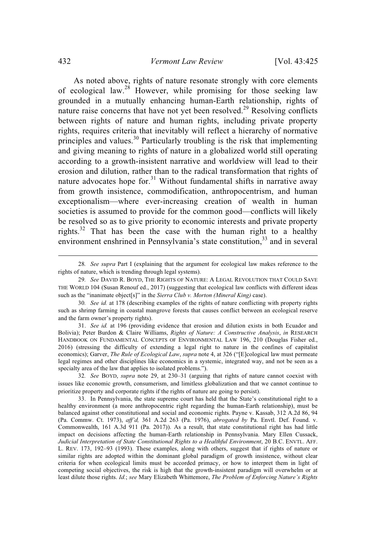As noted above, rights of nature resonate strongly with core elements of ecological law.<sup>28</sup> However, while promising for those seeking law grounded in a mutually enhancing human-Earth relationship, rights of nature raise concerns that have not yet been resolved.<sup>29</sup> Resolving conflicts between rights of nature and human rights, including private property rights, requires criteria that inevitably will reflect a hierarchy of normative principles and values.<sup>30</sup> Particularly troubling is the risk that implementing and giving meaning to rights of nature in a globalized world still operating according to a growth-insistent narrative and worldview will lead to their erosion and dilution, rather than to the radical transformation that rights of nature advocates hope for. $31$  Without fundamental shifts in narrative away from growth insistence, commodification, anthropocentrism, and human exceptionalism—where ever-increasing creation of wealth in human societies is assumed to provide for the common good—conflicts will likely be resolved so as to give priority to economic interests and private property rights.<sup>32</sup> That has been the case with the human right to a healthy environment enshrined in Pennsylvania's state constitution,<sup>33</sup> and in several

<sup>28</sup>*. See supra* Part I (explaining that the argument for ecological law makes reference to the rights of nature, which is trending through legal systems).

<sup>29</sup>*. See* DAVID R. BOYD, THE RIGHTS OF NATURE:ALEGAL REVOLUTION THAT COULD SAVE THE WORLD 104 (Susan Renouf ed., 2017) (suggesting that ecological law conflicts with different ideas such as the "inanimate object[s]" in the *Sierra Club v. Morton (Mineral King)* case).

<sup>30</sup>*. See id.* at 178 (describing examples of the rights of nature conflicting with property rights such as shrimp farming in coastal mangrove forests that causes conflict between an ecological reserve and the farm owner's property rights).

<sup>31.</sup> *See id.* at 196 (providing evidence that erosion and dilution exists in both Ecuador and Bolivia); Peter Burdon & Claire Williams, *Rights of Nature: A Constructive Analysis*, *in* RESEARCH HANDBOOK ON FUNDAMENTAL CONCEPTS OF ENVIRONMENTAL LAW 196, 210 (Douglas Fisher ed., 2016) (stressing the difficulty of extending a legal right to nature in the confines of capitalist economics); Garver, *The Rule of Ecological Law*, *supra* note 4, at 326 ("[E]cological law must permeate legal regimes and other disciplines like economics in a systemic, integrated way, and not be seen as a specialty area of the law that applies to isolated problems.").

<sup>32</sup>*. See* BOYD, *supra* note 29, at 230–31 (arguing that rights of nature cannot coexist with issues like economic growth, consumerism, and limitless globalization and that we cannot continue to prioritize property and corporate rights if the rights of nature are going to persist).

<sup>33.</sup> In Pennsylvania, the state supreme court has held that the State's constitutional right to a healthy environment (a more anthropocentric right regarding the human-Earth relationship), must be balanced against other constitutional and social and economic rights. Payne v. Kassab, 312 A.2d 86, 94 (Pa. Commw. Ct. 1973), *aff'd,* 361 A.2d 263 (Pa. 1976), *abrogated by* Pa. Envtl. Def. Found. v. Commonwealth, 161 A.3d 911 (Pa. 2017)). As a result, that state constitutional right has had little impact on decisions affecting the human-Earth relationship in Pennsylvania. Mary Ellen Cussack, *Judicial Interpretation of State Constitutional Rights to a Healthful Environment*, 20 B.C. ENVTL. AFF. L. REV. 173, 192–93 (1993). These examples, along with others, suggest that if rights of nature or similar rights are adopted within the dominant global paradigm of growth insistence, without clear criteria for when ecological limits must be accorded primacy, or how to interpret them in light of competing social objectives, the risk is high that the growth-insistent paradigm will overwhelm or at least dilute those rights. *Id.*; *see* Mary Elizabeth Whittemore, *The Problem of Enforcing Nature's Rights*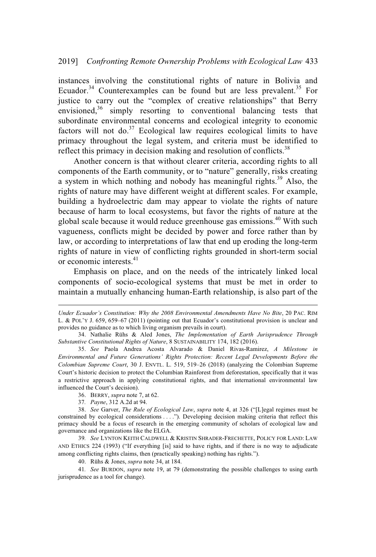instances involving the constitutional rights of nature in Bolivia and Ecuador.<sup>34</sup> Counterexamples can be found but are less prevalent.<sup>35</sup> For justice to carry out the "complex of creative relationships" that Berry envisioned, $36 \sinh y$  resorting to conventional balancing tests that subordinate environmental concerns and ecological integrity to economic factors will not do.<sup>37</sup> Ecological law requires ecological limits to have primacy throughout the legal system, and criteria must be identified to reflect this primacy in decision making and resolution of conflicts.<sup>38</sup>

Another concern is that without clearer criteria, according rights to all components of the Earth community, or to "nature" generally, risks creating a system in which nothing and nobody has meaningful rights.<sup>39</sup> Also, the rights of nature may have different weight at different scales. For example, building a hydroelectric dam may appear to violate the rights of nature because of harm to local ecosystems, but favor the rights of nature at the global scale because it would reduce greenhouse gas emissions. <sup>40</sup> With such vagueness, conflicts might be decided by power and force rather than by law, or according to interpretations of law that end up eroding the long-term rights of nature in view of conflicting rights grounded in short-term social or economic interests. $41$ 

Emphasis on place, and on the needs of the intricately linked local components of socio-ecological systems that must be met in order to maintain a mutually enhancing human-Earth relationship, is also part of the

37*. Payne*, 312 A.2d at 94.

*Under Ecuador's Constitution: Why the 2008 Environmental Amendments Have No Bite*, 20 PAC. RIM L. & POL'Y J. 659, 659–67 (2011) (pointing out that Ecuador's constitutional provision is unclear and provides no guidance as to which living organism prevails in court).

<sup>34.</sup> Nathalie Rühs & Aled Jones, *The Implementation of Earth Jurisprudence Through Substantive Constitutional Rights of Nature*,8SUSTAINABILITY 174, 182 (2016).

<sup>35.</sup> *See* Paola Andrea Acosta Alvarado & Daniel Rivas-Ramirez, *A Milestone in Environmental and Future Generations' Rights Protection: Recent Legal Developments Before the Colombian Supreme Court*, 30 J. ENVTL. L. 519, 519–26 (2018) (analyzing the Colombian Supreme Court's historic decision to protect the Columbian Rainforest from deforestation, specifically that it was a restrictive approach in applying constitutional rights, and that international environmental law influenced the Court's decision).

<sup>36.</sup> BERRY, *supra* note 7, at 62.

<sup>38.</sup> *See* Garver, *The Rule of Ecological Law*, *supra* note 4, at 326 ("[L]egal regimes must be constrained by ecological considerations . ..."). Developing decision making criteria that reflect this primacy should be a focus of research in the emerging community of scholars of ecological law and governance and organizations like the ELGA.

<sup>39</sup>*. See* LYNTON KEITH CALDWELL & KRISTIN SHRADER-FRECHETTE, POLICY FOR LAND: LAW AND ETHICS 224 (1993) ("If everything [is] said to have rights, and if there is no way to adjudicate among conflicting rights claims, then (practically speaking) nothing has rights.").

<sup>40.</sup> Rühs & Jones, *supra* note 34, at 184.

<sup>41</sup>*. See* BURDON, *supra* note 19, at 79 (demonstrating the possible challenges to using earth jurisprudence as a tool for change).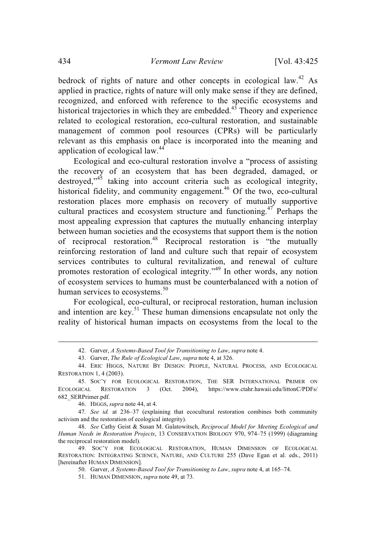bedrock of rights of nature and other concepts in ecological law.<sup>42</sup> As applied in practice, rights of nature will only make sense if they are defined, recognized, and enforced with reference to the specific ecosystems and historical trajectories in which they are embedded. $43$  Theory and experience related to ecological restoration, eco-cultural restoration, and sustainable management of common pool resources (CPRs) will be particularly relevant as this emphasis on place is incorporated into the meaning and application of ecological law.<sup>44</sup>

Ecological and eco-cultural restoration involve a "process of assisting the recovery of an ecosystem that has been degraded, damaged, or destroyed,"<sup>45</sup> taking into account criteria such as ecological integrity, historical fidelity, and community engagement.<sup>46</sup> Of the two, eco-cultural restoration places more emphasis on recovery of mutually supportive cultural practices and ecosystem structure and functioning.<sup>47</sup> Perhaps the most appealing expression that captures the mutually enhancing interplay between human societies and the ecosystems that support them is the notion of reciprocal restoration.<sup>48</sup> Reciprocal restoration is "the mutually reinforcing restoration of land and culture such that repair of ecosystem services contributes to cultural revitalization, and renewal of culture promotes restoration of ecological integrity."<sup>49</sup> In other words, any notion of ecosystem services to humans must be counterbalanced with a notion of human services to ecosystems.<sup>50</sup>

For ecological, eco-cultural, or reciprocal restoration, human inclusion and intention are key.<sup>51</sup> These human dimensions encapsulate not only the reality of historical human impacts on ecosystems from the local to the

47*. See id.* at 236–37 (explaining that ecocultural restoration combines both community activism and the restoration of ecological integrity).

<sup>42.</sup> Garver, *A Systems-Based Tool for Transitioning to Law*, *supra* note 4.

<sup>43.</sup> Garver, *The Rule of Ecological Law*, *supra* note 4, at 326.

<sup>44.</sup> ERIC HIGGS, NATURE BY DESIGN: PEOPLE, NATURAL PROCESS, AND ECOLOGICAL RESTORATION 1, 4 (2003).

<sup>45.</sup> SOC'Y FOR ECOLOGICAL RESTORATION, THE SER INTERNATIONAL PRIMER ON ECOLOGICAL RESTORATION 3 (Oct. 2004), https://www.ctahr.hawaii.edu/littonC/PDFs/ 682\_SERPrimer.pdf.

<sup>46.</sup> HIGGS, *supra* note 44, at 4.

<sup>48.</sup> *See* Cathy Geist & Susan M. Galatowitsch, *Reciprocal Model for Meeting Ecological and Human Needs in Restoration Projects*, 13 CONSERVATION BIOLOGY 970, 974–75 (1999) (diagraming the reciprocal restoration model).

<sup>49.</sup> SOC'Y FOR ECOLOGICAL RESTORATION, HUMAN DIMENSION OF ECOLOGICAL RESTORATION: INTEGRATING SCIENCE, NATURE, AND CULTURE 255 (Dave Egan et al. eds., 2011) [hereinafter HUMAN DIMENSION].

<sup>50.</sup> Garver, *A Systems-Based Tool for Transitioning to Law*, *supra* note 4, at 165–74.

<sup>51.</sup> HUMAN DIMENSION, *supra* note 49, at 73.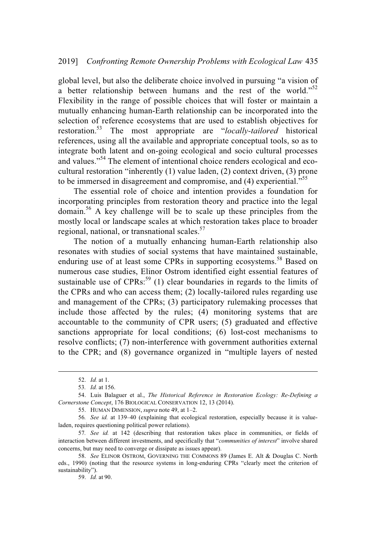global level, but also the deliberate choice involved in pursuing "a vision of a better relationship between humans and the rest of the world."<sup>52</sup> Flexibility in the range of possible choices that will foster or maintain a mutually enhancing human-Earth relationship can be incorporated into the selection of reference ecosystems that are used to establish objectives for restoration. <sup>53</sup> The most appropriate are "*locally-tailored* historical references, using all the available and appropriate conceptual tools, so as to integrate both latent and on-going ecological and socio cultural processes and values."<sup>54</sup> The element of intentional choice renders ecological and ecocultural restoration "inherently (1) value laden, (2) context driven, (3) prone to be immersed in disagreement and compromise, and (4) experiential."<sup>55</sup>

The essential role of choice and intention provides a foundation for incorporating principles from restoration theory and practice into the legal domain.<sup>56</sup> A key challenge will be to scale up these principles from the mostly local or landscape scales at which restoration takes place to broader regional, national, or transnational scales.<sup>57</sup>

The notion of a mutually enhancing human-Earth relationship also resonates with studies of social systems that have maintained sustainable, enduring use of at least some CPRs in supporting ecosystems.<sup>58</sup> Based on numerous case studies, Elinor Ostrom identified eight essential features of sustainable use of  $CPRs:59$  (1) clear boundaries in regards to the limits of the CPRs and who can access them; (2) locally-tailored rules regarding use and management of the CPRs; (3) participatory rulemaking processes that include those affected by the rules; (4) monitoring systems that are accountable to the community of CPR users; (5) graduated and effective sanctions appropriate for local conditions; (6) lost-cost mechanisms to resolve conflicts; (7) non-interference with government authorities external to the CPR; and (8) governance organized in "multiple layers of nested

<sup>52.</sup> *Id.* at 1.

<sup>53</sup>*. Id.* at 156.

<sup>54.</sup> Luis Balaguer et al., *The Historical Reference in Restoration Ecology: Re-Defining a Cornerstone Concept*, 176 BIOLOGICAL CONSERVATION 12, 13 (2014).

<sup>55.</sup> HUMAN DIMENSION, *supra* note 49, at 1–2.

<sup>56</sup>*. See id.* at 139–40 (explaining that ecological restoration, especially because it is valueladen, requires questioning political power relations).

<sup>57</sup>*. See id.* at 142 (describing that restoration takes place in communities, or fields of interaction between different investments, and specifically that "*communities of interest*" involve shared concerns, but may need to converge or dissipate as issues appear).

<sup>58.</sup> *See* ELINOR OSTROM, GOVERNING THE COMMONS 89 (James E. Alt & Douglas C. North eds., 1990) (noting that the resource systems in long-enduring CPRs "clearly meet the criterion of sustainability").

<sup>59.</sup> *Id.* at 90.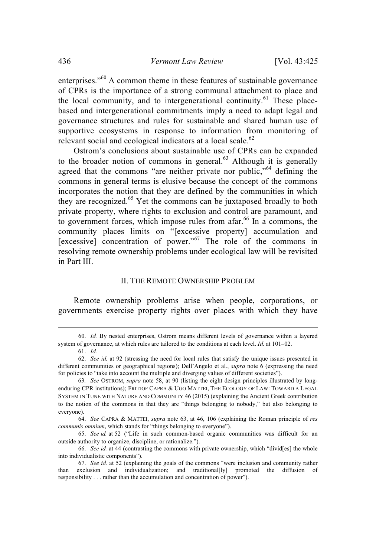enterprises."<sup>60</sup> A common theme in these features of sustainable governance of CPRs is the importance of a strong communal attachment to place and the local community, and to intergenerational continuity.<sup>61</sup> These placebased and intergenerational commitments imply a need to adapt legal and governance structures and rules for sustainable and shared human use of supportive ecosystems in response to information from monitoring of relevant social and ecological indicators at a local scale. $62$ 

Ostrom's conclusions about sustainable use of CPRs can be expanded to the broader notion of commons in general. $^{63}$  Although it is generally agreed that the commons "are neither private nor public,"<sup>64</sup> defining the commons in general terms is elusive because the concept of the commons incorporates the notion that they are defined by the communities in which they are recognized.<sup>65</sup> Yet the commons can be juxtaposed broadly to both private property, where rights to exclusion and control are paramount, and to government forces, which impose rules from afar. $^{66}$  In a commons, the community places limits on "[excessive property] accumulation and [excessive] concentration of power."<sup>67</sup> The role of the commons in resolving remote ownership problems under ecological law will be revisited in Part III.

## II. THE REMOTE OWNERSHIP PROBLEM

Remote ownership problems arise when people, corporations, or governments exercise property rights over places with which they have

<sup>60.</sup> *Id.* By nested enterprises, Ostrom means different levels of governance within a layered system of governance, at which rules are tailored to the conditions at each level. *Id.* at 101–02.

<sup>61.</sup> *Id.*

<sup>62.</sup> *See id.* at 92 (stressing the need for local rules that satisfy the unique issues presented in different communities or geographical regions); Dell'Angelo et al., *supra* note 6 (expressing the need for policies to "take into account the multiple and diverging values of different societies").

<sup>63</sup>*. See* OSTROM, *supra* note 58, at 90 (listing the eight design principles illustrated by longenduring CPR institutions); FRITJOF CAPRA & UGO MATTEI, THE ECOLOGY OF LAW: TOWARD A LEGAL SYSTEM IN TUNE WITH NATURE AND COMMUNITY 46 (2015) (explaining the Ancient Greek contribution to the notion of the commons in that they are "things belonging to nobody," but also belonging to everyone).

<sup>64.</sup> *See* CAPRA & MATTEI, *supra* note 63, at 46, 106 (explaining the Roman principle of *res communis omnium*, which stands for "things belonging to everyone").

<sup>65.</sup> *See id.* at 52 ("Life in such common-based organic communities was difficult for an outside authority to organize, discipline, or rationalize.").

<sup>66.</sup> *See id.* at 44 (contrasting the commons with private ownership, which "divid[es] the whole into individualistic components").

<sup>67.</sup> *See id.* at 52 (explaining the goals of the commons "were inclusion and community rather than exclusion and individualization; and traditional[ly] promoted the diffusion of responsibility . . . rather than the accumulation and concentration of power").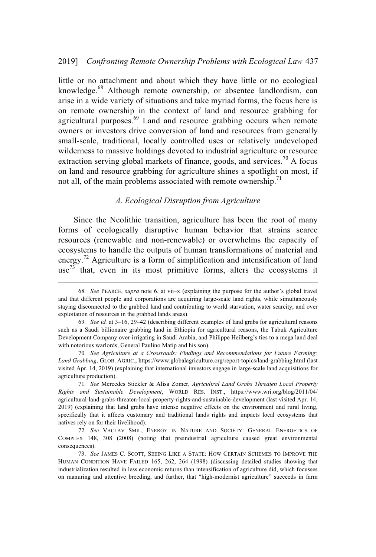little or no attachment and about which they have little or no ecological knowledge.<sup>68</sup> Although remote ownership, or absentee landlordism, can arise in a wide variety of situations and take myriad forms, the focus here is on remote ownership in the context of land and resource grabbing for agricultural purposes.<sup>69</sup> Land and resource grabbing occurs when remote owners or investors drive conversion of land and resources from generally small-scale, traditional, locally controlled uses or relatively undeveloped wilderness to massive holdings devoted to industrial agriculture or resource extraction serving global markets of finance, goods, and services.<sup>70</sup> A focus on land and resource grabbing for agriculture shines a spotlight on most, if not all, of the main problems associated with remote ownership.<sup>71</sup>

#### *A. Ecological Disruption from Agriculture*

Since the Neolithic transition, agriculture has been the root of many forms of ecologically disruptive human behavior that strains scarce resources (renewable and non-renewable) or overwhelms the capacity of ecosystems to handle the outputs of human transformations of material and energy.<sup>72</sup> Agriculture is a form of simplification and intensification of land use<sup>73</sup> that, even in its most primitive forms, alters the ecosystems it

<sup>68</sup>*. See* PEARCE, *supra* note 6, at vii–x (explaining the purpose for the author's global travel and that different people and corporations are acquiring large-scale land rights, while simultaneously staying disconnected to the grabbed land and contributing to world starvation, water scarcity, and over exploitation of resources in the grabbed lands areas).

<sup>69</sup>*. See id.* at 3–16, 29–42 (describing different examples of land grabs for agricultural reasons such as a Saudi billionaire grabbing land in Ethiopia for agricultural reasons, the Tabuk Agriculture Development Company over-irrigating in Saudi Arabia, and Philippe Heilberg's ties to a mega land deal with notorious warlords, General Paulino Matip and his son).

<sup>70</sup>*. See Agriculture at a Crossroads: Findings and Recommendations for Future Farming: Land Grabbing*, GLOB. AGRIC., https://www.globalagriculture.org/report-topics/land-grabbing.html (last visited Apr. 14, 2019) (explaining that international investors engage in large-scale land acquisitions for agriculture production).

<sup>71</sup>*. See* Mercedes Stickler & Alisa Zomer, *Agricultral Land Grabs Threaten Local Property Rights and Sustainable Development*, WORLD RES. INST., https://www.wri.org/blog/2011/04/ agricultural-land-grabs-threaten-local-property-rights-and-sustainable-development (last visited Apr. 14, 2019) (explaining that land grabs have intense negative effects on the environment and rural living, specifically that it affects customary and traditional lands rights and impacts local ecosystems that natives rely on for their livelihood).

<sup>72</sup>*. See* VACLAV SMIL, ENERGY IN NATURE AND SOCIETY: GENERAL ENERGETICS OF COMPLEX 148, 308 (2008) (noting that preindustrial agriculture caused great environmental consequences).

<sup>73.</sup> *See* JAMES C. SCOTT, SEEING LIKE A STATE: HOW CERTAIN SCHEMES TO IMPROVE THE HUMAN CONDITION HAVE FAILED 165, 262, 264 (1998) (discussing detailed studies showing that industrialization resulted in less economic returns than intensification of agriculture did, which focusses on manuring and attentive breeding, and further, that "high-modernist agriculture" succeeds in farm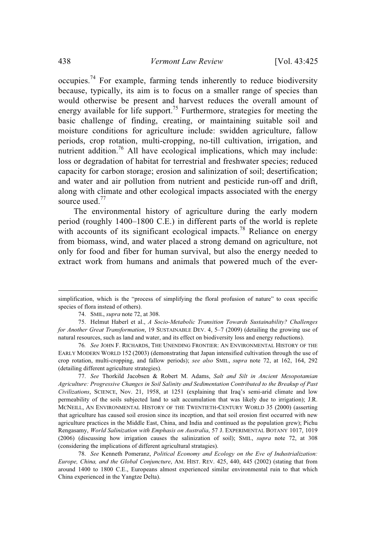occupies.<sup>74</sup> For example, farming tends inherently to reduce biodiversity because, typically, its aim is to focus on a smaller range of species than would otherwise be present and harvest reduces the overall amount of energy available for life support.<sup>75</sup> Furthermore, strategies for meeting the basic challenge of finding, creating, or maintaining suitable soil and moisture conditions for agriculture include: swidden agriculture, fallow periods, crop rotation, multi-cropping, no-till cultivation, irrigation, and nutrient addition.<sup>76</sup> All have ecological implications, which may include: loss or degradation of habitat for terrestrial and freshwater species; reduced capacity for carbon storage; erosion and salinization of soil; desertification; and water and air pollution from nutrient and pesticide run-off and drift, along with climate and other ecological impacts associated with the energy source used.<sup>77</sup>

The environmental history of agriculture during the early modern period (roughly 1400–1800 C.E.) in different parts of the world is replete with accounts of its significant ecological impacts.<sup>78</sup> Reliance on energy from biomass, wind, and water placed a strong demand on agriculture, not only for food and fiber for human survival, but also the energy needed to extract work from humans and animals that powered much of the ever-

77. *See* Thorkild Jacobsen & Robert M. Adams, *Salt and Silt in Ancient Mesopotamian Agriculture: Progressive Changes in Soil Salinity and Sedimentation Contributed to the Breakup of Past Civilizations*, SCIENCE, Nov. 21, 1958, at 1251 (explaining that Iraq's semi-arid climate and low permeability of the soils subjected land to salt accumulation that was likely due to irrigation); J.R. MCNEILL, AN ENVIRONMENTAL HISTORY OF THE TWENTIETH-CENTURY WORLD 35 (2000) (asserting that agriculture has caused soil erosion since its inception, and that soil erosion first occurred with new agriculture practices in the Middle East, China, and India and continued as the population grew); Pichu Rengasamy, *World Salinization with Emphasis on Australia*, 57 J. EXPERIMENTAL BOTANY 1017, 1019 (2006) (discussing how irrigation causes the salinization of soil); SMIL, *supra* note 72, at 308 (considering the implications of different agricultural stratagies).

78. *See* Kenneth Pomeranz, *Political Economy and Ecology on the Eve of Industrialization: Europe, China, and the Global Conjuncture*, AM. HIST. REV. 425, 440, 445 (2002) (stating that from around 1400 to 1800 C.E., Europeans almost experienced similar environmental ruin to that which China experienced in the Yangtze Delta).

simplification, which is the "process of simplifying the floral profusion of nature" to coax specific species of flora instead of others).

<sup>74.</sup> SMIL, *supra* note 72, at 308.

<sup>75.</sup> Helmut Haberl et al., *A Socio-Metabolic Transition Towards Sustainability? Challenges for Another Great Transformation*, 19 SUSTAINABLE DEV. 4, 5–7 (2009) (detailing the growing use of natural resources, such as land and water, and its effect on biodiversity loss and energy reductions).

<sup>76</sup>*. See* JOHN F. RICHARDS, THE UNENDING FRONTIER: AN ENVIRONMENTAL HISTORY OF THE EARLY MODERN WORLD 152 (2003) (demonstrating that Japan intensified cultivation through the use of crop rotation, multi-cropping, and fallow periods); *see also* SMIL, *supra* note 72, at 162, 164, 292 (detailing different agriculture strategies).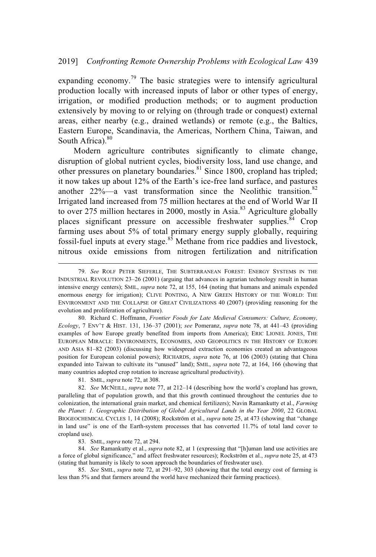expanding economy.<sup>79</sup> The basic strategies were to intensify agricultural production locally with increased inputs of labor or other types of energy, irrigation, or modified production methods; or to augment production extensively by moving to or relying on (through trade or conquest) external areas, either nearby (e.g., drained wetlands) or remote (e.g., the Baltics, Eastern Europe, Scandinavia, the Americas, Northern China, Taiwan, and South Africa). $80$ 

Modern agriculture contributes significantly to climate change, disruption of global nutrient cycles, biodiversity loss, land use change, and other pressures on planetary boundaries.<sup>81</sup> Since 1800, cropland has tripled; it now takes up about 12% of the Earth's ice-free land surface, and pastures another  $22\%$ —a vast transformation since the Neolithic transition.<sup>82</sup> Irrigated land increased from 75 million hectares at the end of World War II to over 275 million hectares in 2000, mostly in Asia.<sup>83</sup> Agriculture globally places significant pressure on accessible freshwater supplies. $84$  Crop farming uses about 5% of total primary energy supply globally, requiring fossil-fuel inputs at every stage.<sup>85</sup> Methane from rice paddies and livestock, nitrous oxide emissions from nitrogen fertilization and nitrification

80. Richard C. Hoffmann, *Frontier Foods for Late Medieval Consumers: Culture, Economy, Ecology*,7ENV'T & HIST. 131, 136–37 (2001); *see* Pomeranz, *supra* note 78, at 441–43 (providing examples of how Europe greatly benefited from imports from America); ERIC LIONEL JONES, THE EUROPEAN MIRACLE: ENVIRONMENTS, ECONOMIES, AND GEOPOLITICS IN THE HISTORY OF EUROPE AND ASIA 81–82 (2003) (discussing how widespread extraction economies created an advantageous position for European colonial powers); RICHARDS, *supra* note 76, at 106 (2003) (stating that China expanded into Taiwan to cultivate its "unused" land); SMIL, *supra* note 72, at 164, 166 (showing that many countries adopted crop rotation to increase agricultural productivity).

81. SMIL, *supra* note 72, at 308.

82. *See* MCNEILL, *supra* note 77, at 212–14 (describing how the world's cropland has grown, paralleling that of population growth, and that this growth continued throughout the centuries due to colonization, the international grain market, and chemical fertilizers); Navin Ramankutty et al., *Farming the Planet: 1. Geographic Distribution of Global Agricultural Lands in the Year 2000*, 22 GLOBAL BIOGEOCHEMICAL CYCLES 1, 14 (2008); Rockström et al., *supra* note 25, at 473 (showing that "change in land use" is one of the Earth-system processes that has converted 11.7% of total land cover to cropland use).

83. SMIL, *supra* note 72, at 294.

84. *See* Ramankutty et al., *supra* note 82, at 1 (expressing that "[h]uman land use activities are a force of global significance," and affect freshwater resources); Rockström et al., *supra* note 25, at 473 (stating that humanity is likely to soon approach the boundaries of freshwater use).

85. *See* SMIL, *supra* note 72, at 291–92, 303 (showing that the total energy cost of farming is less than 5% and that farmers around the world have mechanized their farming practices).

<sup>79.</sup> *See* ROLF PETER SIEFERLE, THE SUBTERRANEAN FOREST: ENERGY SYSTEMS IN THE INDUSTRIAL REVOLUTION 23–26 (2001) (arguing that advances in agrarian technology result in human intensive energy centers); SMIL, *supra* note 72, at 155, 164 (noting that humans and animals expended enormous energy for irrigation); CLIVE PONTING,ANEW GREEN HISTORY OF THE WORLD: THE ENVIRONMENT AND THE COLLAPSE OF GREAT CIVILIZATIONS 40 (2007) (providing reasoning for the evolution and proliferation of agriculture).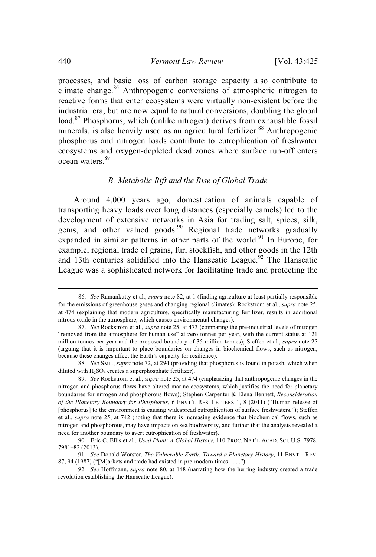processes, and basic loss of carbon storage capacity also contribute to climate change.<sup>86</sup> Anthropogenic conversions of atmospheric nitrogen to reactive forms that enter ecosystems were virtually non-existent before the industrial era, but are now equal to natural conversions, doubling the global load.<sup>87</sup> Phosphorus, which (unlike nitrogen) derives from exhaustible fossil minerals, is also heavily used as an agricultural fertilizer. <sup>88</sup> Anthropogenic phosphorus and nitrogen loads contribute to eutrophication of freshwater ecosystems and oxygen-depleted dead zones where surface run-off enters ocean waters. 89

## *B. Metabolic Rift and the Rise of Global Trade*

Around 4,000 years ago, domestication of animals capable of transporting heavy loads over long distances (especially camels) led to the development of extensive networks in Asia for trading salt, spices, silk, gems, and other valued goods.<sup>90</sup> Regional trade networks gradually expanded in similar patterns in other parts of the world.<sup>91</sup> In Europe, for example, regional trade of grains, fur, stockfish, and other goods in the 12th and 13th centuries solidified into the Hanseatic League.<sup>92</sup> The Hanseatic League was a sophisticated network for facilitating trade and protecting the

<sup>86.</sup> *See* Ramankutty et al., *supra* note 82, at 1 (finding agriculture at least partially responsible for the emissions of greenhouse gases and changing regional climates); Rockström et al., *supra* note 25, at 474 (explaining that modern agriculture, specifically manufacturing fertilizer, results in additional nitrous oxide in the atmosphere, which causes environmental changes).

<sup>87.</sup> *See* Rockström et al., *supra* note 25, at 473 (comparing the pre-industrial levels of nitrogen "removed from the atmosphere for human use" at zero tonnes per year, with the current status at 121 million tonnes per year and the proposed boundary of 35 million tonnes); Steffen et al., *supra* note 25 (arguing that it is important to place boundaries on changes in biochemical flows, such as nitrogen, because these changes affect the Earth's capacity for resilience).

<sup>88</sup>*. See* SMIL, *supra* note 72, at 294 (providing that phosphorus is found in potash, which when diluted with  $H_2SO_4$  creates a superphosphate fertilizer).

<sup>89.</sup> *See* Rockström et al., *supra* note 25, at 474 (emphasizing that anthropogenic changes in the nitrogen and phosphorus flows have altered marine ecosystems, which justifies the need for planetary boundaries for nitrogen and phosphorous flows); Stephen Carpenter & Elena Bennett, *Reconsideration of the Planetary Boundary for Phosphorus*,6ENVT'L RES. LETTERS 1, 8 (2011) ("Human release of [phosphorus] to the environment is causing widespread eutrophication of surface freshwaters."); Steffen et al., *supra* note 25, at 742 (noting that there is increasing evidence that biochemical flows, such as nitrogen and phosphorous, may have impacts on sea biodiversity, and further that the analysis revealed a need for another boundary to avert eutrophication of freshwater).

<sup>90.</sup> Eric C. Ellis et al., *Used Plant: A Global History*, 110 PROC. NAT'L ACAD. SCI. U.S. 7978, 7981–82 (2013).

<sup>91.</sup> *See* Donald Worster, *The Vulnerable Earth: Toward a Planetary History*, 11 ENVTL. REV. 87, 94 (1987) ("[M]arkets and trade had existed in pre-modern times... .").

<sup>92</sup>*. See* Hoffmann, *supra* note 80, at 148 (narrating how the herring industry created a trade revolution establishing the Hanseatic League).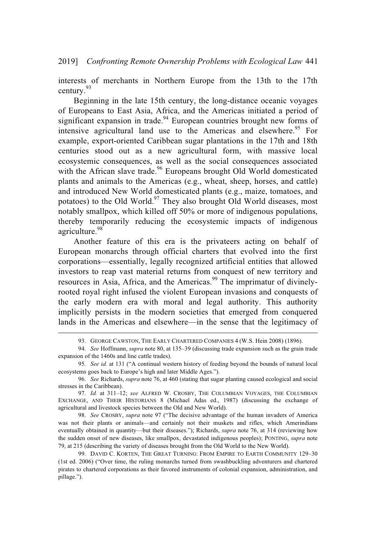interests of merchants in Northern Europe from the 13th to the 17th century. 93

Beginning in the late 15th century, the long-distance oceanic voyages of Europeans to East Asia, Africa, and the Americas initiated a period of significant expansion in trade. $94$  European countries brought new forms of intensive agricultural land use to the Americas and elsewhere. <sup>95</sup> For example, export-oriented Caribbean sugar plantations in the 17th and 18th centuries stood out as a new agricultural form, with massive local ecosystemic consequences, as well as the social consequences associated with the African slave trade.<sup>96</sup> Europeans brought Old World domesticated plants and animals to the Americas (e.g., wheat, sheep, horses, and cattle) and introduced New World domesticated plants (e.g., maize, tomatoes, and potatoes) to the Old World.<sup>97</sup> They also brought Old World diseases, most notably smallpox, which killed off 50% or more of indigenous populations, thereby temporarily reducing the ecosystemic impacts of indigenous agriculture.<sup>98</sup>

Another feature of this era is the privateers acting on behalf of European monarchs through official charters that evolved into the first corporations—essentially, legally recognized artificial entities that allowed investors to reap vast material returns from conquest of new territory and resources in Asia, Africa, and the Americas.<sup>99</sup> The imprimatur of divinelyrooted royal right infused the violent European invasions and conquests of the early modern era with moral and legal authority. This authority implicitly persists in the modern societies that emerged from conquered lands in the Americas and elsewhere—in the sense that the legitimacy of

<sup>93.</sup> GEORGE CAWSTON, THE EARLY CHARTERED COMPANIES 4 (W.S. Hein 2008) (1896).

<sup>94.</sup> *See* Hoffmann, *supra* note 80, at 135–39 (discussing trade expansion such as the grain trade expansion of the 1460s and line cattle trades).

<sup>95</sup>*. See id.* at 131 ("A continual western history of feeding beyond the bounds of natural local ecosystems goes back to Europe's high and later Middle Ages.").

<sup>96.</sup> *See* Richards, *supra* note 76, at 460 (stating that sugar planting caused ecological and social stresses in the Caribbean).

<sup>97.</sup> *Id.* at 311–12; *see* ALFRED W. CROSBY, THE COLUMBIAN VOYAGES, THE COLUMBIAN EXCHANGE, AND THEIR HISTORIANS 8 (Michael Adas ed., 1987) (discussing the exchange of agricultural and livestock species between the Old and New World).

<sup>98.</sup> *See* CROSBY, *supra* note 97 ("The decisive advantage of the human invaders of America was not their plants or animals—and certainly not their muskets and rifles, which Amerindians eventually obtained in quantity—but their diseases."); Richards, *supra* note 76, at 314 (reviewing how the sudden onset of new diseases, like smallpox, devastated indigenous peoples); PONTING, *supra* note 79, at 215 (describing the variety of diseases brought from the Old World to the New World).

<sup>99.</sup> DAVID C. KORTEN, THE GREAT TURNING: FROM EMPIRE TO EARTH COMMUNITY 129–30 (1st ed. 2006) ("Over time, the ruling monarchs turned from swashbuckling adventurers and chartered pirates to chartered corporations as their favored instruments of colonial expansion, administration, and pillage.").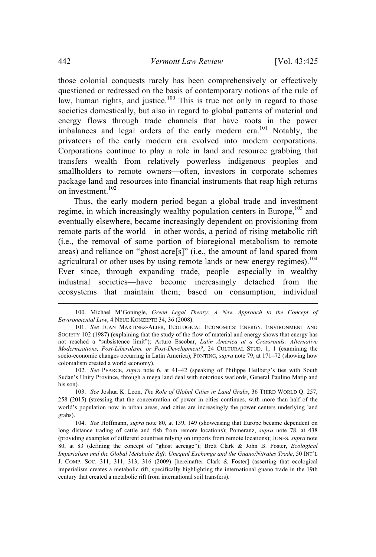those colonial conquests rarely has been comprehensively or effectively questioned or redressed on the basis of contemporary notions of the rule of law, human rights, and justice.<sup>100</sup> This is true not only in regard to those societies domestically, but also in regard to global patterns of material and energy flows through trade channels that have roots in the power imbalances and legal orders of the early modern era.<sup>101</sup> Notably, the privateers of the early modern era evolved into modern corporations. Corporations continue to play a role in land and resource grabbing that transfers wealth from relatively powerless indigenous peoples and smallholders to remote owners—often, investors in corporate schemes package land and resources into financial instruments that reap high returns on investment.<sup>102</sup>

Thus, the early modern period began a global trade and investment regime, in which increasingly wealthy population centers in Europe,<sup>103</sup> and eventually elsewhere, became increasingly dependent on provisioning from remote parts of the world—in other words, a period of rising metabolic rift (i.e., the removal of some portion of bioregional metabolism to remote areas) and reliance on "ghost acre[s]" (i.e., the amount of land spared from agricultural or other uses by using remote lands or new energy regimes).<sup>104</sup> Ever since, through expanding trade, people—especially in wealthy industrial societies—have become increasingly detached from the ecosystems that maintain them; based on consumption, individual

<sup>100.</sup> Michael M'Goningle, *Green Legal Theory: A New Approach to the Concept of Environmental Law*,4NEUE KONZEPTE 34, 36 (2008).

<sup>101.</sup> *See* JUAN MARTINEZ-ALIER, ECOLOGICAL ECONOMICS: ENERGY, ENVIRONMENT AND SOCIETY 102 (1987) (explaining that the study of the flow of material and energy shows that energy has not reached a "subsistence limit"); Arturo Escobar, *Latin America at a Crossroads: Alternative Modernizations, Post-Liberalism, or Post-Development?*, 24 CULTURAL STUD. 1, 1 (examining the socio-economic changes occurring in Latin America); PONTING, *supra* note 79, at 171–72 (showing how colonialism created a world economy).

<sup>102.</sup> *See* PEARCE, *supra* note 6, at 41–42 (speaking of Philippe Heilberg's ties with South Sudan's Unity Province, through a mega land deal with notorious warlords, General Paulino Matip and his son).

<sup>103.</sup> *See* Joshua K. Leon, *The Role of Global Cities in Land Grabs*, 36 THIRD WORLD Q. 257, 258 (2015) (stressing that the concentration of power in cities continues, with more than half of the world's population now in urban areas, and cities are increasingly the power centers underlying land grabs).

<sup>104.</sup> *See* Hoffmann, *supra* note 80, at 139, 149 (showcasing that Europe became dependent on long distance trading of cattle and fish from remote locations); Pomeranz, *supra* note 78, at 438 (providing examples of different countries relying on imports from remote locations); JONES, *supra* note 80, at 83 (defining the concept of "ghost acreage"); Brett Clark & John B. Foster, *Ecological Imperialism and the Global Metabolic Rift: Unequal Exchange and the Guano/Nitrates Trade*, 50 INT'L J. COMP. SOC. 311, 311, 313, 316 (2009) [hereinafter Clark & Foster] (asserting that ecological imperialism creates a metabolic rift, specifically highlighting the international guano trade in the 19th century that created a metabolic rift from international soil transfers).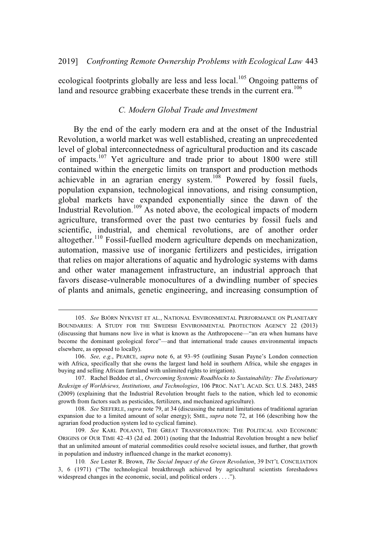ecological footprints globally are less and less local.<sup>105</sup> Ongoing patterns of land and resource grabbing exacerbate these trends in the current era.<sup>106</sup>

# *C. Modern Global Trade and Investment*

By the end of the early modern era and at the onset of the Industrial Revolution, a world market was well established, creating an unprecedented level of global interconnectedness of agricultural production and its cascade of impacts.<sup>107</sup> Yet agriculture and trade prior to about 1800 were still contained within the energetic limits on transport and production methods achievable in an agrarian energy system.<sup>108</sup> Powered by fossil fuels, population expansion, technological innovations, and rising consumption, global markets have expanded exponentially since the dawn of the Industrial Revolution.<sup>109</sup> As noted above, the ecological impacts of modern agriculture, transformed over the past two centuries by fossil fuels and scientific, industrial, and chemical revolutions, are of another order altogether.<sup>110</sup> Fossil-fuelled modern agriculture depends on mechanization, automation, massive use of inorganic fertilizers and pesticides, irrigation that relies on major alterations of aquatic and hydrologic systems with dams and other water management infrastructure, an industrial approach that favors disease-vulnerable monocultures of a dwindling number of species of plants and animals, genetic engineering, and increasing consumption of

<sup>105.</sup> *See* BJÖRN NYKVIST ET AL., NATIONAL ENVIRONMENTAL PERFORMANCE ON PLANETARY BOUNDARIES: A STUDY FOR THE SWEDISH ENVIRONMENTAL PROTECTION AGENCY 22 (2013) (discussing that humans now live in what is known as the Anthropocene—"an era when humans have become the dominant geological force"—and that international trade causes environmental impacts elsewhere, as opposed to locally).

<sup>106.</sup> *See, e.g.*, PEARCE, *supra* note 6, at 93–95 (outlining Susan Payne's London connection with Africa, specifically that she owns the largest land hold in southern Africa, while she engages in buying and selling African farmland with unlimited rights to irrigation).

<sup>107.</sup> Rachel Beddoe et al., *Overcoming Systemic Roadblocks to Sustainability: The Evolutionary Redesign of Worldviews, Institutions, and Technologies*, 106 PROC. NAT'L ACAD. SCI. U.S. 2483, 2485 (2009) (explaining that the Industrial Revolution brought fuels to the nation, which led to economic growth from factors such as pesticides, fertilizers, and mechanized agriculture).

<sup>108.</sup> *See* SIEFERLE, *supra* note 79, at 34 (discussing the natural limitations of traditional agrarian expansion due to a limited amount of solar energy); SMIL, *supra* note 72, at 166 (describing how the agrarian food production system led to cyclical famine).

<sup>109.</sup> *See* KARL POLANYI, THE GREAT TRANSFORMATION: THE POLITICAL AND ECONOMIC ORIGINS OF OUR TIME 42–43 (2d ed. 2001) (noting that the Industrial Revolution brought a new belief that an unlimited amount of material commodities could resolve societal issues, and further, that growth in population and industry influenced change in the market economy).

<sup>110</sup>*. See* Lester R. Brown, *The Social Impact of the Green Revolution*, 39 INT'L CONCILIATION 3, 6 (1971) ("The technological breakthrough achieved by agricultural scientists foreshadows widespread changes in the economic, social, and political orders ....").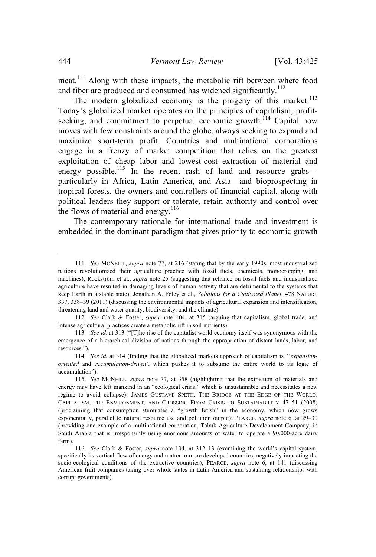meat.<sup>111</sup> Along with these impacts, the metabolic rift between where food and fiber are produced and consumed has widened significantly.<sup>112</sup>

The modern globalized economy is the progeny of this market.<sup>113</sup> Today's globalized market operates on the principles of capitalism, profitseeking, and commitment to perpetual economic growth.<sup>114</sup> Capital now moves with few constraints around the globe, always seeking to expand and maximize short-term profit. Countries and multinational corporations engage in a frenzy of market competition that relies on the greatest exploitation of cheap labor and lowest-cost extraction of material and energy possible.<sup>115</sup> In the recent rash of land and resource grabs particularly in Africa, Latin America, and Asia—and bioprospecting in tropical forests, the owners and controllers of financial capital, along with political leaders they support or tolerate, retain authority and control over the flows of material and energy. $^{116}$ 

The contemporary rationale for international trade and investment is embedded in the dominant paradigm that gives priority to economic growth

112. *See* Clark & Foster, *supra* note 104, at 315 (arguing that capitalism, global trade, and intense agricultural practices create a metabolic rift in soil nutrients).

<sup>111</sup>*. See* MCNEILL, *supra* note 77, at 216 (stating that by the early 1990s, most industrialized nations revolutionized their agriculture practice with fossil fuels, chemicals, monocropping, and machines); Rockström et al., *supra* note 25 (suggesting that reliance on fossil fuels and industrialized agriculture have resulted in damaging levels of human activity that are detrimental to the systems that keep Earth in a stable state); Jonathan A. Foley et al., *Solutions foraCultivated Planet*, 478 NATURE 337, 338–39 (2011) (discussing the environmental impacts of agricultural expansion and intensification, threatening land and water quality, biodiversity, and the climate).

<sup>113</sup>*. See id.* at 313 ("[T]he rise of the capitalist world economy itself was synonymous with the emergence of a hierarchical division of nations through the appropriation of distant lands, labor, and resources.").

<sup>114</sup>*. See id.* at 314 (finding that the globalized markets approach of capitalism is "'*expansionoriented* and *accumulation-driven*', which pushes it to subsume the entire world to its logic of accumulation").

<sup>115.</sup> *See* MCNEILL, *supra* note 77, at 358 (highlighting that the extraction of materials and energy may have left mankind in an "ecological crisis," which is unsustainable and necessitates a new regime to avoid collapse); JAMES GUSTAVE SPETH, THE BRIDGE AT THE EDGE OF THE WORLD: CAPITALISM, THE ENVIRONMENT, AND CROSSING FROM CRISIS TO SUSTAINABILITY 47–51 (2008) (proclaiming that consumption stimulates a "growth fetish" in the economy, which now grows exponentially, parallel to natural resource use and pollution output); PEARCE, *supra* note 6, at 29–30 (providing one example of a multinational corporation, Tabuk Agriculture Development Company, in Saudi Arabia that is irresponsibly using enormous amounts of water to operate a 90,000-acre dairy farm).

<sup>116.</sup> *See* Clark & Foster, *supra* note 104, at 312–13 (examining the world's capital system, specifically its vertical flow of energy and matter to more developed countries, negatively impacting the socio-ecological conditions of the extractive countries); PEARCE, *supra* note 6, at 141 (discussing American fruit companies taking over whole states in Latin America and sustaining relationships with corrupt governments).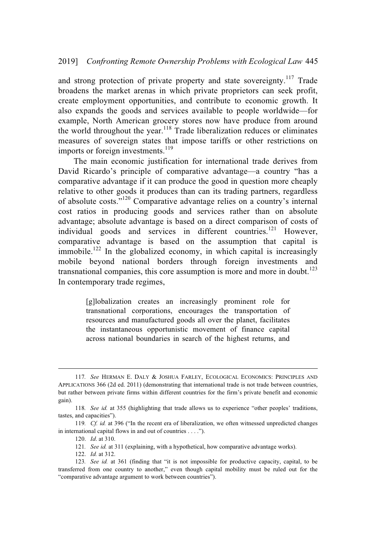and strong protection of private property and state sovereignty.<sup>117</sup> Trade broadens the market arenas in which private proprietors can seek profit, create employment opportunities, and contribute to economic growth. It also expands the goods and services available to people worldwide—for example, North American grocery stores now have produce from around the world throughout the year.<sup>118</sup> Trade liberalization reduces or eliminates measures of sovereign states that impose tariffs or other restrictions on imports or foreign investments.<sup>119</sup>

The main economic justification for international trade derives from David Ricardo's principle of comparative advantage—a country "has a comparative advantage if it can produce the good in question more cheaply relative to other goods it produces than can its trading partners, regardless of absolute costs."<sup>120</sup> Comparative advantage relies on a country's internal cost ratios in producing goods and services rather than on absolute advantage; absolute advantage is based on a direct comparison of costs of individual goods and services in different countries.<sup>121</sup> However, comparative advantage is based on the assumption that capital is immobile.<sup>122</sup> In the globalized economy, in which capital is increasingly mobile beyond national borders through foreign investments and transnational companies, this core assumption is more and more in doubt. $^{123}$ In contemporary trade regimes,

> [g]lobalization creates an increasingly prominent role for transnational corporations, encourages the transportation of resources and manufactured goods all over the planet, facilitates the instantaneous opportunistic movement of finance capital across national boundaries in search of the highest returns, and

<sup>117</sup>*. See* HERMAN E. DALY & JOSHUA FARLEY, ECOLOGICAL ECONOMICS: PRINCIPLES AND APPLICATIONS 366 (2d ed. 2011) (demonstrating that international trade is not trade between countries, but rather between private firms within different countries for the firm's private benefit and economic gain).

<sup>118</sup>*. See id.* at 355 (highlighting that trade allows us to experience "other peoples' traditions, tastes, and capacities").

<sup>119</sup>*. Cf. id.* at 396 ("In the recent era of liberalization, we often witnessed unpredicted changes in international capital flows in and out of countries ....").

<sup>120.</sup> *Id*. at 310.

<sup>121</sup>*. See id.* at 311 (explaining, with a hypothetical, how comparative advantage works).

<sup>122.</sup> *Id.* at 312.

<sup>123</sup>*. See id.* at 361 (finding that "it is not impossible for productive capacity, capital, to be transferred from one country to another," even though capital mobility must be ruled out for the "comparative advantage argument to work between countries").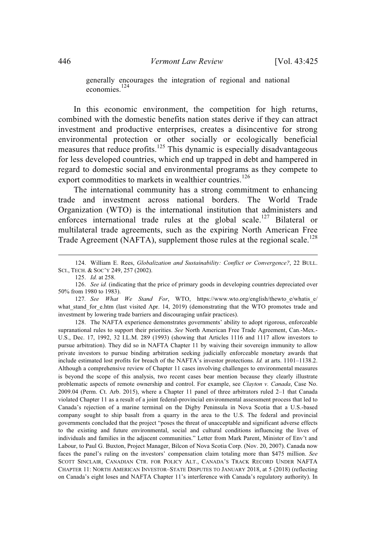generally encourages the integration of regional and national economies. 124

In this economic environment, the competition for high returns, combined with the domestic benefits nation states derive if they can attract investment and productive enterprises, creates a disincentive for strong environmental protection or other socially or ecologically beneficial measures that reduce profits.<sup>125</sup> This dynamic is especially disadvantageous for less developed countries, which end up trapped in debt and hampered in regard to domestic social and environmental programs as they compete to export commodities to markets in wealthier countries.<sup>126</sup>

The international community has a strong commitment to enhancing trade and investment across national borders. The World Trade Organization (WTO) is the international institution that administers and enforces international trade rules at the global scale.<sup>127</sup> Bilateral or multilateral trade agreements, such as the expiring North American Free Trade Agreement (NAFTA), supplement those rules at the regional scale.<sup>128</sup>

125. *Id.* at 258.

128. The NAFTA experience demonstrates governments' ability to adopt rigorous, enforceable supranational rules to support their priorities. *See* North American Free Trade Agreement, Can.-Mex.- U.S., Dec. 17, 1992, 32 I.L.M. 289 (1993) (showing that Articles 1116 and 1117 allow investors to pursue arbitration). They did so in NAFTA Chapter 11 by waiving their sovereign immunity to allow private investors to pursue binding arbitration seeking judicially enforceable monetary awards that include estimated lost profits for breach of the NAFTA's investor protections. *Id.* at arts. 1101–1138.2. Although a comprehensive review of Chapter 11 cases involving challenges to environmental measures is beyond the scope of this analysis, two recent cases bear mention because they clearly illustrate problematic aspects of remote ownership and control. For example, see *Clayton v. Canada*, Case No. 2009.04 (Perm. Ct. Arb. 2015), where a Chapter 11 panel of three arbitrators ruled  $2-1$  that Canada violated Chapter 11 as a result of a joint federal-provincial environmental assessment process that led to Canada's rejection of a marine terminal on the Digby Peninsula in Nova Scotia that a U.S.-based company sought to ship basalt from a quarry in the area to the U.S. The federal and provincial governments concluded that the project "poses the threat of unacceptable and significant adverse effects to the existing and future environmental, social and cultural conditions influencing the lives of individuals and families in the adjacent communities." Letter from Mark Parent, Minister of Env't and Labour, to Paul G. Buxton, Project Manager, Bilcon of Nova Scotia Corp. (Nov. 20, 2007). Canada now faces the panel's ruling on the investors' compensation claim totaling more than \$475 million. *See* SCOTT SINCLAIR, CANADIAN CTR. FOR POLICY ALT., CANADA'S TRACK RECORD UNDER NAFTA CHAPTER 11: NORTH AMERICAN INVESTOR–STATE DISPUTES TO JANUARY 2018, at 5 (2018) (reflecting on Canada's eight loses and NAFTA Chapter 11's interference with Canada's regulatory authority). In

<sup>124.</sup> William E. Rees, *Globalization and Sustainability: Conflict or Convergence?*, 22 BULL. SCI., TECH. & SOC'Y 249, 257 (2002).

<sup>126.</sup> *See id.* (indicating that the price of primary goods in developing countries depreciated over 50% from 1980 to 1983).

<sup>127</sup>*. See What We Stand For*, WTO, https://www.wto.org/english/thewto\_e/whatis\_e/ what stand for e.htm (last visited Apr. 14, 2019) (demonstrating that the WTO promotes trade and investment by lowering trade barriers and discouraging unfair practices).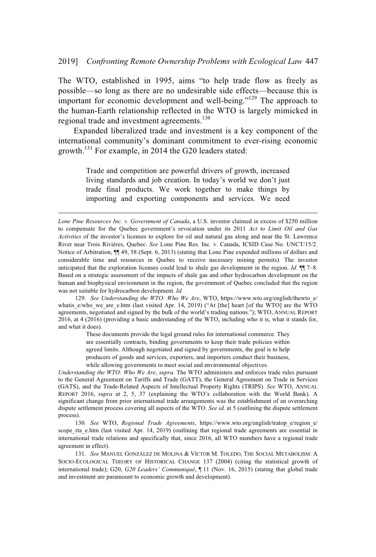The WTO, established in 1995, aims "to help trade flow as freely as possible—so long as there are no undesirable side effects—because this is important for economic development and well-being."<sup>129</sup> The approach to the human-Earth relationship reflected in the WTO is largely mimicked in regional trade and investment agreements.<sup>130</sup>

Expanded liberalized trade and investment is a key component of the international community's dominant commitment to ever-rising economic growth.<sup>131</sup> For example, in 2014 the G20 leaders stated:

> Trade and competition are powerful drivers of growth, increased living standards and job creation. In today's world we don't just trade final products. We work together to make things by importing and exporting components and services. We need

These documents provide the legal ground rules for international commerce. They are essentially contracts, binding governments to keep their trade policies within agreed limits. Although negotiated and signed by governments, the goal is to help producers of goods and services, exporters, and importers conduct their business, while allowing governments to meet social and environmental objectives.

*Understanding the WTO: Who We Are*, *supra*. The WTO administers and enforces trade rules pursuant to the General Agreement on Tariffs and Trade (GATT), the General Agreement on Trade in Services (GATS), and the Trade-Related Aspects of Intellectual Property Rights (TRIPS). *See* WTO, ANNUAL REPORT 2016, *supra* at 2, 5, 37 (explaining the WTO's collaboration with the World Bank). A significant change from prior international trade arrangements was the establishment of an overarching dispute settlement process covering all aspects of the WTO. *See id.* at 5 (outlining the dispute settlement process).

130*. See* WTO, *Regional Trade Agreements*, https://www.wto.org/english/tratop\_e/region\_e/ scope rta e.htm (last visited Apr. 14, 2019) (outlining that regional trade agreements are essential in international trade relations and specifically that, since 2016, all WTO members have a regional trade agreement in effect).

131. *See* MANUEL GONZÁLEZ DE MOLINA & VÍCTOR M. TOLEDO, THE SOCIAL METABOLISM: A SOCIO-ECOLOGICAL THEORY OF HISTORICAL CHANGE 137 (2004) (citing the statistical growth of international trade); G20, *G20 Leaders' Communiqué*, ¶ 11 (Nov. 16, 2015) (stating that global trade and investment are paramount to economic growth and development).

*Lone Pine Resources Inc. v. Government of Canada*, a U.S. investor claimed in excess of \$250 million to compensate for the Quebec government's revocation under its 2011 *Act to Limit Oil and Gas Activities* of the investor's licenses to explore for oil and natural gas along and near the St. Lawrence River near Trois Rivières, Quebec. *See* Lone Pine Res. Inc. v. Canada, ICSID Case No. UNCT/15/2. Notice of Arbitration,  $\P$  49, 58 (Sept. 6, 2013) (stating that Lone Pine expended millions of dollars and considerable time and resources in Quebec to receive necessary mining permits). The investor anticipated that the exploration licenses could lead to shale gas development in the region. *Id.* ¶¶ 7–8. Based on a strategic assessment of the impacts of shale gas and other hydrocarbon development on the human and biophysical environment in the region, the government of Quebec concluded that the region was not suitable for hydrocarbon development. *Id.*

<sup>129.</sup> *See Understanding the WTO: Who We Are*, WTO, https://www.wto.org/english/thewto\_e/ whatis\_e/who\_we\_are\_e.htm (last visited Apr. 14, 2019) ("At [the] heart [of the WTO] are the WTO agreements, negotiated and signed by the bulk of the world's trading nations."); WTO, ANNUAL REPORT 2016, at 4 (2016) (providing a basic understanding of the WTO, including who it is, what it stands for, and what it does).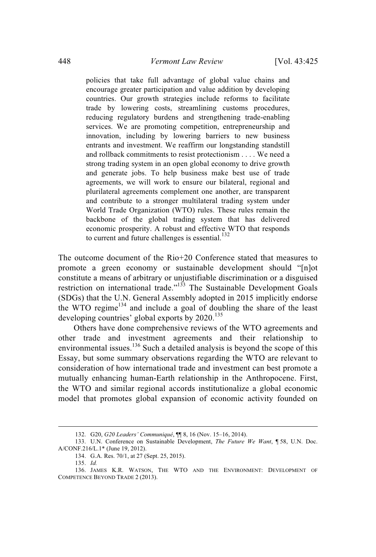policies that take full advantage of global value chains and encourage greater participation and value addition by developing countries. Our growth strategies include reforms to facilitate trade by lowering costs, streamlining customs procedures, reducing regulatory burdens and strengthening trade-enabling services. We are promoting competition, entrepreneurship and innovation, including by lowering barriers to new business entrants and investment. We reaffirm our longstanding standstill and rollback commitments to resist protectionism ....We need a strong trading system in an open global economy to drive growth and generate jobs. To help business make best use of trade agreements, we will work to ensure our bilateral, regional and plurilateral agreements complement one another, are transparent and contribute to a stronger multilateral trading system under World Trade Organization (WTO) rules. These rules remain the backbone of the global trading system that has delivered economic prosperity. A robust and effective WTO that responds to current and future challenges is essential. $132$ 

The outcome document of the Rio+20 Conference stated that measures to promote a green economy or sustainable development should "[n]ot constitute a means of arbitrary or unjustifiable discrimination or a disguised restriction on international trade."<sup>133</sup> The Sustainable Development Goals (SDGs) that the U.N. General Assembly adopted in 2015 implicitly endorse the WTO regime<sup>134</sup> and include a goal of doubling the share of the least developing countries' global exports by  $2020$ .<sup>135</sup>

Others have done comprehensive reviews of the WTO agreements and other trade and investment agreements and their relationship to environmental issues.<sup>136</sup> Such a detailed analysis is beyond the scope of this Essay, but some summary observations regarding the WTO are relevant to consideration of how international trade and investment can best promote a mutually enhancing human-Earth relationship in the Anthropocene. First, the WTO and similar regional accords institutionalize a global economic model that promotes global expansion of economic activity founded on

<sup>132.</sup> G20, *G20 Leaders' Communiqué*, ¶¶ 8, 16 (Nov. 15–16, 2014).

<sup>133.</sup> U.N. Conference on Sustainable Development, *The Future We Want*, ¶ 58, U.N. Doc. A/CONF.216/L.1\* (June 19, 2012).

<sup>134.</sup> G.A. Res. 70/1, at 27 (Sept. 25, 2015).

<sup>135.</sup> *Id.*

<sup>136.</sup> JAMES K.R. WATSON, THE WTO AND THE ENVIRONMENT: DEVELOPMENT OF COMPETENCE BEYOND TRADE 2 (2013).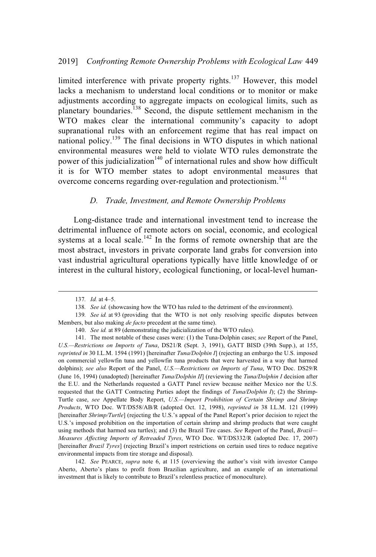limited interference with private property rights.<sup>137</sup> However, this model lacks a mechanism to understand local conditions or to monitor or make adjustments according to aggregate impacts on ecological limits, such as planetary boundaries.<sup>138</sup> Second, the dispute settlement mechanism in the WTO makes clear the international community's capacity to adopt supranational rules with an enforcement regime that has real impact on national policy.<sup>139</sup> The final decisions in WTO disputes in which national environmental measures were held to violate WTO rules demonstrate the power of this judicialization<sup>140</sup> of international rules and show how difficult it is for WTO member states to adopt environmental measures that overcome concerns regarding over-regulation and protectionism.<sup>141</sup>

#### *D. Trade, Investment, and Remote Ownership Problems*

Long-distance trade and international investment tend to increase the detrimental influence of remote actors on social, economic, and ecological systems at a local scale.<sup>142</sup> In the forms of remote ownership that are the most abstract, investors in private corporate land grabs for conversion into vast industrial agricultural operations typically have little knowledge of or interest in the cultural history, ecological functioning, or local-level human-

<sup>137</sup>*. Id.* at 4–5.

<sup>138</sup>*. See id.* (showcasing how the WTO has ruled to the detriment of the environment).

<sup>139</sup>*. See id.* at 93 (providing that the WTO is not only resolving specific disputes between Members, but also making *de facto* precedent at the same time).

<sup>140.</sup> *See id.* at 89 (demonstrating the judicialization of the WTO rules).

<sup>141.</sup> The most notable of these cases were: (1) the Tuna-Dolphin cases; *see* Report of the Panel, *U.S.—Restrictions on Imports of Tuna*, DS21/R (Sept. 3, 1991), GATT BISD (39th Supp.), at 155, *reprinted in* 30 I.L.M. 1594 (1991) [hereinafter *Tuna/Dolphin I*] (rejecting an embargo the U.S. imposed on commercial yellowfin tuna and yellowfin tuna products that were harvested in a way that harmed dolphins); *see also* Report of the Panel, *U.S.—Restrictions on Imports of Tuna*, WTO Doc. DS29/R (June 16, 1994) (unadopted) [hereinafter *Tuna/Dolphin II*] (reviewing the *Tuna/Dolphin I* decision after the E.U. and the Netherlands requested a GATT Panel review because neither Mexico nor the U.S. requested that the GATT Contracting Parties adopt the findings of *Tuna/Dolphin I*); (2) the Shrimp-Turtle case, *see* Appellate Body Report, *U.S.—Import Prohibition of Certain Shrimp and Shrimp Products*, WTO Doc. WT/DS58/AB/R (adopted Oct. 12, 1998), *reprinted in* 38 I.L.M. 121 (1999) [hereinafter *Shrimp/Turtle*] (rejecting the U.S.'s appeal of the Panel Report's prior decision to reject the U.S.'s imposed prohibition on the importation of certain shrimp and shrimp products that were caught using methods that harmed sea turtles); and (3) the Brazil Tire cases. *See* Report of the Panel, *Brazil— Measures Affecting Imports of Retreaded Tyres*, WTO Doc. WT/DS332/R (adopted Dec. 17, 2007) [hereinafter *Brazil Tyres*] (rejecting Brazil's import restrictions on certain used tires to reduce negative environmental impacts from tire storage and disposal).

<sup>142.</sup> *See* PEARCE, *supra* note 6, at 115 (overviewing the author's visit with investor Campo Aberto, Aberto's plans to profit from Brazilian agriculture, and an example of an international investment that is likely to contribute to Brazil's relentless practice of monoculture).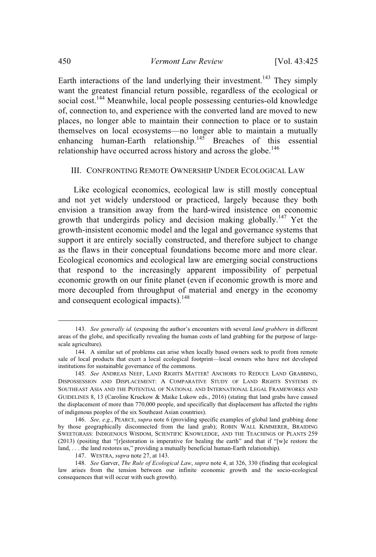Earth interactions of the land underlying their investment.<sup>143</sup> They simply want the greatest financial return possible, regardless of the ecological or social cost.<sup>144</sup> Meanwhile, local people possessing centuries-old knowledge of, connection to, and experience with the converted land are moved to new places, no longer able to maintain their connection to place or to sustain themselves on local ecosystems—no longer able to maintain a mutually enhancing human-Earth relationship.<sup>145</sup> Breaches of this essential relationship have occurred across history and across the globe.<sup>146</sup>

#### III. CONFRONTING REMOTE OWNERSHIP UNDER ECOLOGICAL LAW

Like ecological economics, ecological law is still mostly conceptual and not yet widely understood or practiced, largely because they both envision a transition away from the hard-wired insistence on economic growth that undergirds policy and decision making globally.<sup>147</sup> Yet the growth-insistent economic model and the legal and governance systems that support it are entirely socially constructed, and therefore subject to change as the flaws in their conceptual foundations become more and more clear. Ecological economics and ecological law are emerging social constructions that respond to the increasingly apparent impossibility of perpetual economic growth on our finite planet (even if economic growth is more and more decoupled from throughput of material and energy in the economy and consequent ecological impacts). $148$ 

<sup>143</sup>*. See generally id.* (exposing the author's encounters with several *land grabbers* in different areas of the globe, and specifically revealing the human costs of land grabbing for the purpose of largescale agriculture).

<sup>144.</sup> A similar set of problems can arise when locally based owners seek to profit from remote sale of local products that exert a local ecological footprint—local owners who have not developed institutions for sustainable governance of the commons.

<sup>145</sup>*. See* ANDREAS NEEF, LAND RIGHTS MATTER! ANCHORS TO REDUCE LAND GRABBING, DISPOSSESSION AND DISPLACEMENT: A COMPARATIVE STUDY OF LAND RIGHTS SYSTEMS IN SOUTHEAST ASIA AND THE POTENTIAL OF NATIONAL AND INTERNATIONAL LEGAL FRAMEWORKS AND GUIDELINES 8, 13 (Caroline Kruckow & Maike Lukow eds., 2016) (stating that land grabs have caused the displacement of more than 770,000 people, and specifically that displacement has affected the rights of indigenous peoples of the six Southeast Asian countries).

<sup>146.</sup> *See, e.g.*, PEARCE, *supra* note 6 (providing specific examples of global land grabbing done by those geographically disconnected from the land grab); ROBIN WALL KIMMERER, BRAIDING SWEETGRASS: INDIGENOUS WISDOM, SCIENTIFIC KNOWLEDGE, AND THE TEACHINGS OF PLANTS 259 (2013) (positing that "[r]estoration is imperative for healing the earth" and that if "[w]e restore the land, ...the land restores us," providing a mutually beneficial human-Earth relationship).

<sup>147.</sup> WESTRA, *supra* note 27, at 143.

<sup>148.</sup> *See* Garver, *The Rule of Ecological Law*, *supra* note 4, at 326, 330 (finding that ecological law arises from the tension between our infinite economic growth and the socio-ecological consequences that will occur with such growth).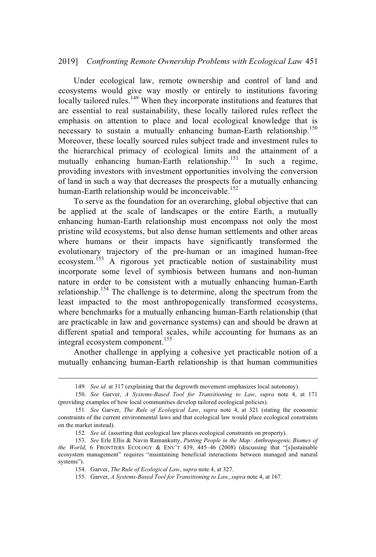#### 2019] *Confronting Remote Ownership Problems with Ecological Law* 451

Under ecological law, remote ownership and control of land and ecosystems would give way mostly or entirely to institutions favoring locally tailored rules.<sup>149</sup> When they incorporate institutions and features that are essential to real sustainability, these locally tailored rules reflect the emphasis on attention to place and local ecological knowledge that is necessary to sustain a mutually enhancing human-Earth relationship.<sup>150</sup> Moreover, these locally sourced rules subject trade and investment rules to the hierarchical primacy of ecological limits and the attainment of a mutually enhancing human-Earth relationship.<sup>151</sup> In such a regime, providing investors with investment opportunities involving the conversion of land in such a way that decreases the prospects for a mutually enhancing human-Earth relationship would be inconceivable.<sup>152</sup>

To serve as the foundation for an overarching, global objective that can be applied at the scale of landscapes or the entire Earth, a mutually enhancing human-Earth relationship must encompass not only the most pristine wild ecosystems, but also dense human settlements and other areas where humans or their impacts have significantly transformed the evolutionary trajectory of the pre-human or an imagined human-free ecosystem.<sup>153</sup> A rigorous yet practicable notion of sustainability must incorporate some level of symbiosis between humans and non-human nature in order to be consistent with a mutually enhancing human-Earth relationship.<sup>154</sup> The challenge is to determine, along the spectrum from the least impacted to the most anthropogenically transformed ecosystems, where benchmarks for a mutually enhancing human-Earth relationship (that are practicable in law and governance systems) can and should be drawn at different spatial and temporal scales, while accounting for humans as an integral ecosystem component.<sup>155</sup>

Another challenge in applying a cohesive yet practicable notion of a mutually enhancing human-Earth relationship is that human communities

<sup>149</sup>*. See id.* at 317 (explaining that the degrowth movement emphasizes local autonomy).

<sup>150.</sup> *See* Garver, *A Systems-Based Tool for Transitioning to Law*, *supra* note 4, at 171 (providing examples of how local communities develop tailored ecological policies).

<sup>151</sup>*. See* Garver, *The Rule of Ecological Law*, *supra* note 4, at 321 (stating the economic constraints of the current environmental laws and that ecological law would place ecological constraints on the market instead).

<sup>152</sup>*. See id.* (asserting that ecological law places ecological constraints on property).

<sup>153.</sup> *See* Erle Ellis & Navin Ramankutty, *Putting People in the Map: Anthropogenic Biomes of the World*, 6 FRONTIERS ECOLOGY & ENV'T 439, 445-46 (2008) (discussing that "[s]ustainable ecosystem management" requires "maintaining beneficial interactions between managed and natural systems").

<sup>154.</sup> Garver, *The Rule of Ecological Law*, *supra* note 4, at 327.

<sup>155.</sup> Garver, *A Systems-Based Tool for Transitioning to Law*, *supra* note 4, at 167.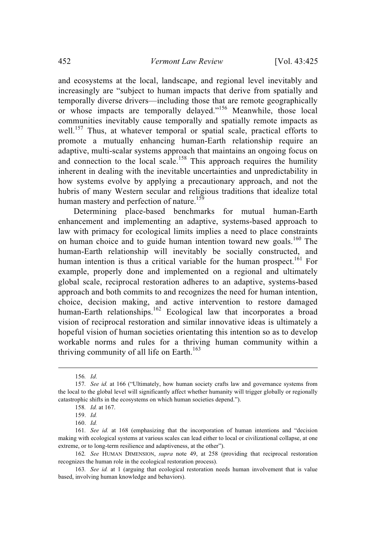and ecosystems at the local, landscape, and regional level inevitably and increasingly are "subject to human impacts that derive from spatially and temporally diverse drivers—including those that are remote geographically or whose impacts are temporally delayed."<sup>156</sup> Meanwhile, those local communities inevitably cause temporally and spatially remote impacts as well.<sup>157</sup> Thus, at whatever temporal or spatial scale, practical efforts to promote a mutually enhancing human-Earth relationship require an adaptive, multi-scalar systems approach that maintains an ongoing focus on and connection to the local scale.<sup>158</sup> This approach requires the humility inherent in dealing with the inevitable uncertainties and unpredictability in how systems evolve by applying a precautionary approach, and not the hubris of many Western secular and religious traditions that idealize total human mastery and perfection of nature.<sup>159</sup>

Determining place-based benchmarks for mutual human-Earth enhancement and implementing an adaptive, systems-based approach to law with primacy for ecological limits implies a need to place constraints on human choice and to guide human intention toward new goals.<sup>160</sup> The human-Earth relationship will inevitably be socially constructed, and human intention is thus a critical variable for the human prospect.<sup>161</sup> For example, properly done and implemented on a regional and ultimately global scale, reciprocal restoration adheres to an adaptive, systems-based approach and both commits to and recognizes the need for human intention, choice, decision making, and active intervention to restore damaged human-Earth relationships.<sup>162</sup> Ecological law that incorporates a broad vision of reciprocal restoration and similar innovative ideas is ultimately a hopeful vision of human societies orientating this intention so as to develop workable norms and rules for a thriving human community within a thriving community of all life on Earth.<sup>163</sup>

<sup>156</sup>*. Id*.

<sup>157</sup>*. See id.* at 166 ("Ultimately, how human society crafts law and governance systems from the local to the global level will significantly affect whether humanity will trigger globally or regionally catastrophic shifts in the ecosystems on which human societies depend.").

<sup>158</sup>*. Id.* at 167.

<sup>159.</sup> *Id.*

<sup>160.</sup> *Id.*

<sup>161</sup>*. See id.* at 168 (emphasizing that the incorporation of human intentions and "decision making with ecological systems at various scales can lead either to local or civilizational collapse, at one extreme, or to long-term resilience and adaptiveness, at the other").

<sup>162</sup>*. See* HUMAN DIMENSION, *supra* note 49, at 258 (providing that reciprocal restoration recognizes the human role in the ecological restoration process).

<sup>163</sup>*. See id.* at 1 (arguing that ecological restoration needs human involvement that is value based, involving human knowledge and behaviors).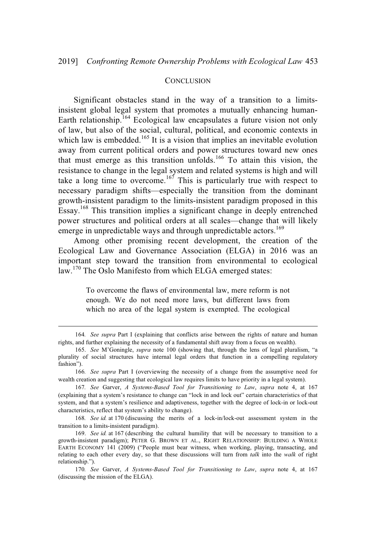#### **CONCLUSION**

Significant obstacles stand in the way of a transition to a limitsinsistent global legal system that promotes a mutually enhancing human-Earth relationship.<sup>164</sup> Ecological law encapsulates a future vision not only of law, but also of the social, cultural, political, and economic contexts in which law is embedded.<sup>165</sup> It is a vision that implies an inevitable evolution away from current political orders and power structures toward new ones that must emerge as this transition unfolds.<sup>166</sup> To attain this vision, the resistance to change in the legal system and related systems is high and will take a long time to overcome.<sup>167</sup> This is particularly true with respect to necessary paradigm shifts—especially the transition from the dominant growth-insistent paradigm to the limits-insistent paradigm proposed in this Essay.<sup>168</sup> This transition implies a significant change in deeply entrenched power structures and political orders at all scales—change that will likely emerge in unpredictable ways and through unpredictable actors.<sup>169</sup>

Among other promising recent development, the creation of the Ecological Law and Governance Association (ELGA) in 2016 was an important step toward the transition from environmental to ecological law.<sup>170</sup> The Oslo Manifesto from which ELGA emerged states:

> To overcome the flaws of environmental law, mere reform is not enough. We do not need more laws, but different laws from which no area of the legal system is exempted. The ecological

<sup>164</sup>*. See supra* Part I (explaining that conflicts arise between the rights of nature and human rights, and further explaining the necessity of a fundamental shift away from a focus on wealth).

<sup>165.</sup> *See* M'Goningle, *supra* note 100 (showing that, through the lens of legal pluralism, "a plurality of social structures have internal legal orders that function in a compelling regulatory fashion").

<sup>166</sup>*. See supra* PartI(overviewing the necessity of a change from the assumptive need for wealth creation and suggesting that ecological law requires limits to have priority in a legal system).

<sup>167</sup>*. See* Garver, *A Systems-Based Tool for Transitioning to Law*, *supra* note 4, at 167 (explaining that a system's resistance to change can "lock in and lock out" certain characteristics of that system, and that a system's resilience and adaptiveness, together with the degree of lock-in or lock-out characteristics, reflect that system's ability to change).

<sup>168</sup>*. See id.* at 170 (discussing the merits of a lock-in/lock-out assessment system in the transition to a limits-insistent paradigm).

<sup>169.</sup> *See id.* at 167 (describing the cultural humility that will be necessary to transition to a growth-insistent paradigm); PETER G. BROWN ET AL., RIGHT RELATIONSHIP: BUILDING A WHOLE EARTH ECONOMY 141 (2009) ("People must bear witness, when working, playing, transacting, and relating to each other every day, so that these discussions will turn from *talk* into the *walk* of right relationship.").

<sup>170</sup>*. See* Garver, *A Systems-Based Tool for Transitioning to Law*, *supra* note 4, at 167 (discussing the mission of the ELGA).